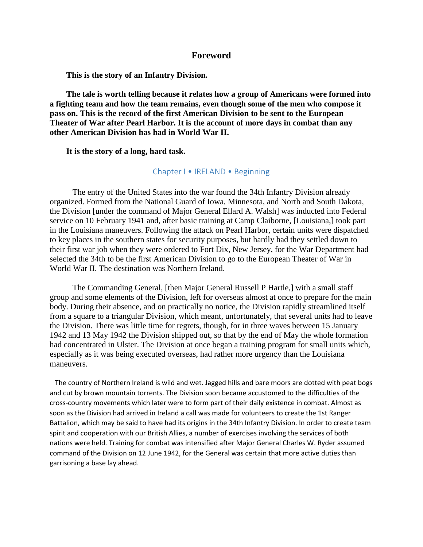#### **Foreword**

**This is the story of an Infantry Division.** 

**The tale is worth telling because it relates how a group of Americans were formed into a fighting team and how the team remains, even though some of the men who compose it pass on. This is the record of the first American Division to be sent to the European Theater of War after Pearl Harbor. It is the account of more days in combat than any other American Division has had in World War II.** 

**It is the story of a long, hard task.** 

#### Chapter I • IRELAND • Beginning

 The entry of the United States into the war found the 34th Infantry Division already organized. Formed from the National Guard of Iowa, Minnesota, and North and South Dakota, the Division [under the command of Major General Ellard A. Walsh] was inducted into Federal service on 10 February 1941 and, after basic training at Camp Claiborne, [Louisiana,] took part in the Louisiana maneuvers. Following the attack on Pearl Harbor, certain units were dispatched to key places in the southern states for security purposes, but hardly had they settled down to their first war job when they were ordered to Fort Dix, New Jersey, for the War Department had selected the 34th to be the first American Division to go to the European Theater of War in World War II. The destination was Northern Ireland.

 The Commanding General, [then Major General Russell P Hartle,] with a small staff group and some elements of the Division, left for overseas almost at once to prepare for the main body. During their absence, and on practically no notice, the Division rapidly streamlined itself from a square to a triangular Division, which meant, unfortunately, that several units had to leave the Division. There was little time for regrets, though, for in three waves between 15 January 1942 and 13 May 1942 the Division shipped out, so that by the end of May the whole formation had concentrated in Ulster. The Division at once began a training program for small units which, especially as it was being executed overseas, had rather more urgency than the Louisiana maneuvers.

 The country of Northern Ireland is wild and wet. Jagged hills and bare moors are dotted with peat bogs and cut by brown mountain torrents. The Division soon became accustomed to the difficulties of the cross-country movements which later were to form part of their daily existence in combat. Almost as soon as the Division had arrived in Ireland a call was made for volunteers to create the 1st Ranger Battalion, which may be said to have had its origins in the 34th Infantry Division. In order to create team spirit and cooperation with our British Allies, a number of exercises involving the services of both nations were held. Training for combat was intensified after Major General Charles W. Ryder assumed command of the Division on 12 June 1942, for the General was certain that more active duties than garrisoning a base lay ahead.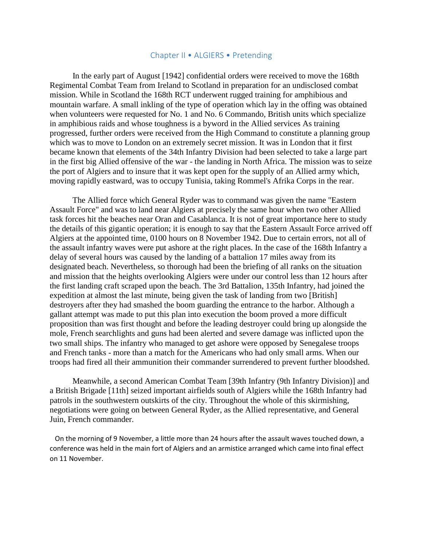#### Chapter II • ALGIERS • Pretending

 In the early part of August [1942] confidential orders were received to move the 168th Regimental Combat Team from Ireland to Scotland in preparation for an undisclosed combat mission. While in Scotland the 168th RCT underwent rugged training for amphibious and mountain warfare. A small inkling of the type of operation which lay in the offing was obtained when volunteers were requested for No. 1 and No. 6 Commando, British units which specialize in amphibious raids and whose toughness is a byword in the Allied services As training progressed, further orders were received from the High Command to constitute a planning group which was to move to London on an extremely secret mission. It was in London that it first became known that elements of the 34th Infantry Division had been selected to take a large part in the first big Allied offensive of the war - the landing in North Africa. The mission was to seize the port of Algiers and to insure that it was kept open for the supply of an Allied army which, moving rapidly eastward, was to occupy Tunisia, taking Rommel's Afrika Corps in the rear.

 The Allied force which General Ryder was to command was given the name "Eastern Assault Force" and was to land near Algiers at precisely the same hour when two other Allied task forces hit the beaches near Oran and Casablanca. It is not of great importance here to study the details of this gigantic operation; it is enough to say that the Eastern Assault Force arrived off Algiers at the appointed time, 0100 hours on 8 November 1942. Due to certain errors, not all of the assault infantry waves were put ashore at the right places. In the case of the 168th Infantry a delay of several hours was caused by the landing of a battalion 17 miles away from its designated beach. Nevertheless, so thorough had been the briefing of all ranks on the situation and mission that the heights overlooking Algiers were under our control less than 12 hours after the first landing craft scraped upon the beach. The 3rd Battalion, 135th Infantry, had joined the expedition at almost the last minute, being given the task of landing from two [British] destroyers after they had smashed the boom guarding the entrance to the harbor. Although a gallant attempt was made to put this plan into execution the boom proved a more difficult proposition than was first thought and before the leading destroyer could bring up alongside the mole, French searchlights and guns had been alerted and severe damage was inflicted upon the two small ships. The infantry who managed to get ashore were opposed by Senegalese troops and French tanks - more than a match for the Americans who had only small arms. When our troops had fired all their ammunition their commander surrendered to prevent further bloodshed.

 Meanwhile, a second American Combat Team [39th Infantry (9th Infantry Division)] and a British Brigade [11th] seized important airfields south of Algiers while the 168th Infantry had patrols in the southwestern outskirts of the city. Throughout the whole of this skirmishing, negotiations were going on between General Ryder, as the Allied representative, and General Juin, French commander.

 On the morning of 9 November, a little more than 24 hours after the assault waves touched down, a conference was held in the main fort of Algiers and an armistice arranged which came into final effect on 11 November.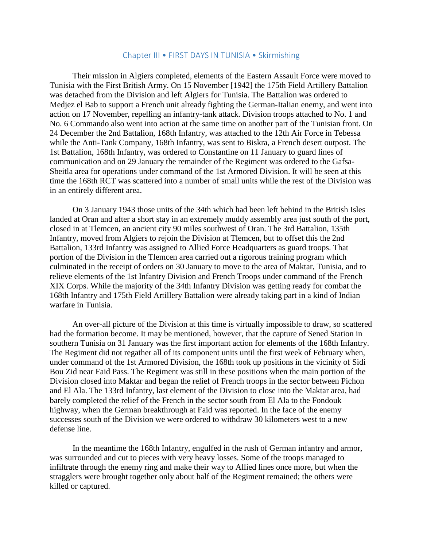#### Chapter III • FIRST DAYS IN TUNISIA • Skirmishing

 Their mission in Algiers completed, elements of the Eastern Assault Force were moved to Tunisia with the First British Army. On 15 November [1942] the 175th Field Artillery Battalion was detached from the Division and left Algiers for Tunisia. The Battalion was ordered to Medjez el Bab to support a French unit already fighting the German-Italian enemy, and went into action on 17 November, repelling an infantry-tank attack. Division troops attached to No. 1 and No. 6 Commando also went into action at the same time on another part of the Tunisian front. On 24 December the 2nd Battalion, 168th Infantry, was attached to the 12th Air Force in Tebessa while the Anti-Tank Company, 168th Infantry, was sent to Biskra, a French desert outpost. The 1st Battalion, 168th Infantry, was ordered to Constantine on 11 January to guard lines of communication and on 29 January the remainder of the Regiment was ordered to the Gafsa-Sbeitla area for operations under command of the 1st Armored Division. It will be seen at this time the 168th RCT was scattered into a number of small units while the rest of the Division was in an entirely different area.

 On 3 January 1943 those units of the 34th which had been left behind in the British Isles landed at Oran and after a short stay in an extremely muddy assembly area just south of the port, closed in at Tlemcen, an ancient city 90 miles southwest of Oran. The 3rd Battalion, 135th Infantry, moved from Algiers to rejoin the Division at Tlemcen, but to offset this the 2nd Battalion, 133rd Infantry was assigned to Allied Force Headquarters as guard troops. That portion of the Division in the Tlemcen area carried out a rigorous training program which culminated in the receipt of orders on 30 January to move to the area of Maktar, Tunisia, and to relieve elements of the 1st Infantry Division and French Troops under command of the French XIX Corps. While the majority of the 34th Infantry Division was getting ready for combat the 168th Infantry and 175th Field Artillery Battalion were already taking part in a kind of Indian warfare in Tunisia.

 An over-all picture of the Division at this time is virtually impossible to draw, so scattered had the formation become. It may be mentioned, however, that the capture of Sened Station in southern Tunisia on 31 January was the first important action for elements of the 168th Infantry. The Regiment did not regather all of its component units until the first week of February when, under command of the 1st Armored Division, the 168th took up positions in the vicinity of Sidi Bou Zid near Faid Pass. The Regiment was still in these positions when the main portion of the Division closed into Maktar and began the relief of French troops in the sector between Pichon and El Ala. The 133rd Infantry, last element of the Division to close into the Maktar area, had barely completed the relief of the French in the sector south from El Ala to the Fondouk highway, when the German breakthrough at Faid was reported. In the face of the enemy successes south of the Division we were ordered to withdraw 30 kilometers west to a new defense line.

 In the meantime the 168th Infantry, engulfed in the rush of German infantry and armor, was surrounded and cut to pieces with very heavy losses. Some of the troops managed to infiltrate through the enemy ring and make their way to Allied lines once more, but when the stragglers were brought together only about half of the Regiment remained; the others were killed or captured.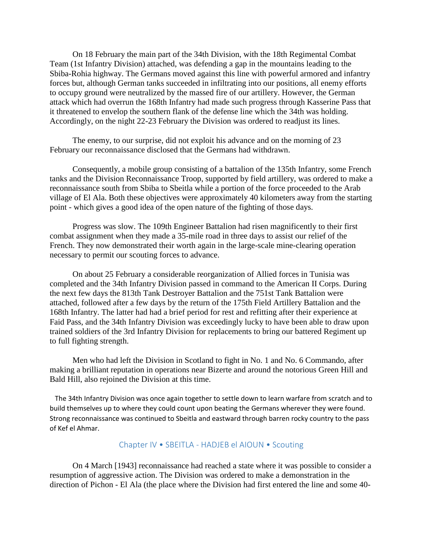On 18 February the main part of the 34th Division, with the 18th Regimental Combat Team (1st Infantry Division) attached, was defending a gap in the mountains leading to the Sbiba-Rohia highway. The Germans moved against this line with powerful armored and infantry forces but, although German tanks succeeded in infiltrating into our positions, all enemy efforts to occupy ground were neutralized by the massed fire of our artillery. However, the German attack which had overrun the 168th Infantry had made such progress through Kasserine Pass that it threatened to envelop the southern flank of the defense line which the 34th was holding. Accordingly, on the night 22-23 February the Division was ordered to readjust its lines.

 The enemy, to our surprise, did not exploit his advance and on the morning of 23 February our reconnaissance disclosed that the Germans had withdrawn.

 Consequently, a mobile group consisting of a battalion of the 135th Infantry, some French tanks and the Division Reconnaissance Troop, supported by field artillery, was ordered to make a reconnaissance south from Sbiba to Sbeitla while a portion of the force proceeded to the Arab village of El Ala. Both these objectives were approximately 40 kilometers away from the starting point - which gives a good idea of the open nature of the fighting of those days.

 Progress was slow. The 109th Engineer Battalion had risen magnificently to their first combat assignment when they made a 35-mile road in three days to assist our relief of the French. They now demonstrated their worth again in the large-scale mine-clearing operation necessary to permit our scouting forces to advance.

 On about 25 February a considerable reorganization of Allied forces in Tunisia was completed and the 34th Infantry Division passed in command to the American II Corps. During the next few days the 813th Tank Destroyer Battalion and the 751st Tank Battalion were attached, followed after a few days by the return of the 175th Field Artillery Battalion and the 168th Infantry. The latter had had a brief period for rest and refitting after their experience at Faid Pass, and the 34th Infantry Division was exceedingly lucky to have been able to draw upon trained soldiers of the 3rd Infantry Division for replacements to bring our battered Regiment up to full fighting strength.

 Men who had left the Division in Scotland to fight in No. 1 and No. 6 Commando, after making a brilliant reputation in operations near Bizerte and around the notorious Green Hill and Bald Hill, also rejoined the Division at this time.

 The 34th Infantry Division was once again together to settle down to learn warfare from scratch and to build themselves up to where they could count upon beating the Germans wherever they were found. Strong reconnaissance was continued to Sbeitla and eastward through barren rocky country to the pass of Kef el Ahmar.

## Chapter IV • SBEITLA - HADJEB el AIOUN • Scouting

 On 4 March [1943] reconnaissance had reached a state where it was possible to consider a resumption of aggressive action. The Division was ordered to make a demonstration in the direction of Pichon - El Ala (the place where the Division had first entered the line and some 40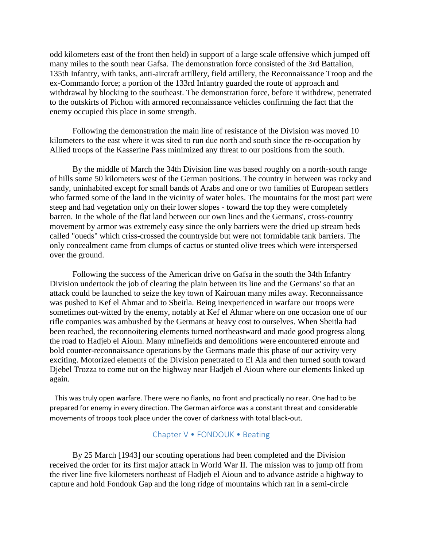odd kilometers east of the front then held) in support of a large scale offensive which jumped off many miles to the south near Gafsa. The demonstration force consisted of the 3rd Battalion, 135th Infantry, with tanks, anti-aircraft artillery, field artillery, the Reconnaissance Troop and the ex-Commando force; a portion of the 133rd Infantry guarded the route of approach and withdrawal by blocking to the southeast. The demonstration force, before it withdrew, penetrated to the outskirts of Pichon with armored reconnaissance vehicles confirming the fact that the enemy occupied this place in some strength.

 Following the demonstration the main line of resistance of the Division was moved 10 kilometers to the east where it was sited to run due north and south since the re-occupation by Allied troops of the Kasserine Pass minimized any threat to our positions from the south.

 By the middle of March the 34th Division line was based roughly on a north-south range of hills some 50 kilometers west of the German positions. The country in between was rocky and sandy, uninhabited except for small bands of Arabs and one or two families of European settlers who farmed some of the land in the vicinity of water holes. The mountains for the most part were steep and had vegetation only on their lower slopes - toward the top they were completely barren. In the whole of the flat land between our own lines and the Germans', cross-country movement by armor was extremely easy since the only barriers were the dried up stream beds called "oueds" which criss-crossed the countryside but were not formidable tank barriers. The only concealment came from clumps of cactus or stunted olive trees which were interspersed over the ground.

 Following the success of the American drive on Gafsa in the south the 34th Infantry Division undertook the job of clearing the plain between its line and the Germans' so that an attack could be launched to seize the key town of Kairouan many miles away. Reconnaissance was pushed to Kef el Ahmar and to Sbeitla. Being inexperienced in warfare our troops were sometimes out-witted by the enemy, notably at Kef el Ahmar where on one occasion one of our rifle companies was ambushed by the Germans at heavy cost to ourselves. When Sbeitla had been reached, the reconnoitering elements turned northeastward and made good progress along the road to Hadjeb el Aioun. Many minefields and demolitions were encountered enroute and bold counter-reconnaissance operations by the Germans made this phase of our activity very exciting. Motorized elements of the Division penetrated to El Ala and then turned south toward Djebel Trozza to come out on the highway near Hadjeb el Aioun where our elements linked up again.

 This was truly open warfare. There were no flanks, no front and practically no rear. One had to be prepared for enemy in every direction. The German airforce was a constant threat and considerable movements of troops took place under the cover of darkness with total black-out.

## Chapter V • FONDOUK • Beating

 By 25 March [1943] our scouting operations had been completed and the Division received the order for its first major attack in World War II. The mission was to jump off from the river line five kilometers northeast of Hadjeb el Aioun and to advance astride a highway to capture and hold Fondouk Gap and the long ridge of mountains which ran in a semi-circle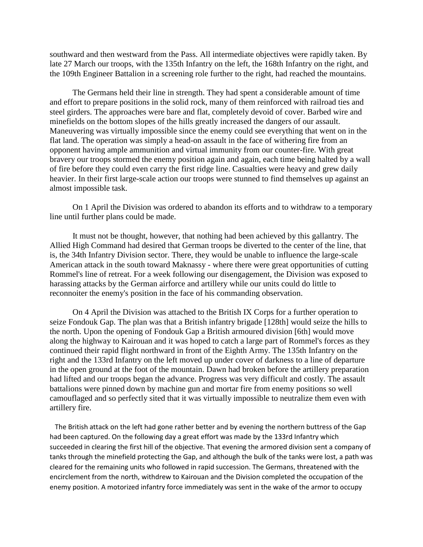southward and then westward from the Pass. All intermediate objectives were rapidly taken. By late 27 March our troops, with the 135th Infantry on the left, the 168th Infantry on the right, and the 109th Engineer Battalion in a screening role further to the right, had reached the mountains.

 The Germans held their line in strength. They had spent a considerable amount of time and effort to prepare positions in the solid rock, many of them reinforced with railroad ties and steel girders. The approaches were bare and flat, completely devoid of cover. Barbed wire and minefields on the bottom slopes of the hills greatly increased the dangers of our assault. Maneuvering was virtually impossible since the enemy could see everything that went on in the flat land. The operation was simply a head-on assault in the face of withering fire from an opponent having ample ammunition and virtual immunity from our counter-fire. With great bravery our troops stormed the enemy position again and again, each time being halted by a wall of fire before they could even carry the first ridge line. Casualties were heavy and grew daily heavier. In their first large-scale action our troops were stunned to find themselves up against an almost impossible task.

 On 1 April the Division was ordered to abandon its efforts and to withdraw to a temporary line until further plans could be made.

 It must not be thought, however, that nothing had been achieved by this gallantry. The Allied High Command had desired that German troops be diverted to the center of the line, that is, the 34th Infantry Division sector. There, they would be unable to influence the large-scale American attack in the south toward Maknassy - where there were great opportunities of cutting Rommel's line of retreat. For a week following our disengagement, the Division was exposed to harassing attacks by the German airforce and artillery while our units could do little to reconnoiter the enemy's position in the face of his commanding observation.

 On 4 April the Division was attached to the British IX Corps for a further operation to seize Fondouk Gap. The plan was that a British infantry brigade [128th] would seize the hills to the north. Upon the opening of Fondouk Gap a British armoured division [6th] would move along the highway to Kairouan and it was hoped to catch a large part of Rommel's forces as they continued their rapid flight northward in front of the Eighth Army. The 135th Infantry on the right and the 133rd Infantry on the left moved up under cover of darkness to a line of departure in the open ground at the foot of the mountain. Dawn had broken before the artillery preparation had lifted and our troops began the advance. Progress was very difficult and costly. The assault battalions were pinned down by machine gun and mortar fire from enemy positions so well camouflaged and so perfectly sited that it was virtually impossible to neutralize them even with artillery fire.

 The British attack on the left had gone rather better and by evening the northern buttress of the Gap had been captured. On the following day a great effort was made by the 133rd Infantry which succeeded in clearing the first hill of the objective. That evening the armored division sent a company of tanks through the minefield protecting the Gap, and although the bulk of the tanks were lost, a path was cleared for the remaining units who followed in rapid succession. The Germans, threatened with the encirclement from the north, withdrew to Kairouan and the Division completed the occupation of the enemy position. A motorized infantry force immediately was sent in the wake of the armor to occupy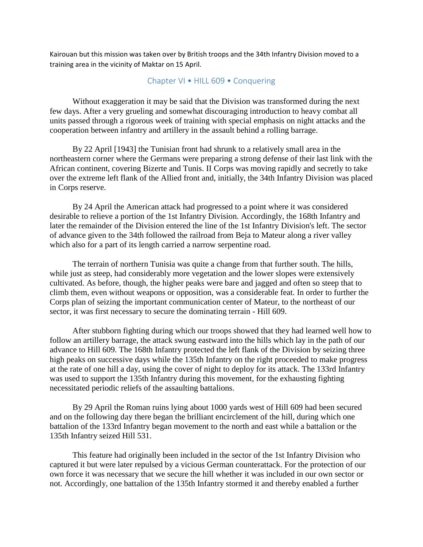Kairouan but this mission was taken over by British troops and the 34th Infantry Division moved to a training area in the vicinity of Maktar on 15 April.

## Chapter VI • HILL 609 • Conquering

 Without exaggeration it may be said that the Division was transformed during the next few days. After a very grueling and somewhat discouraging introduction to heavy combat all units passed through a rigorous week of training with special emphasis on night attacks and the cooperation between infantry and artillery in the assault behind a rolling barrage.

 By 22 April [1943] the Tunisian front had shrunk to a relatively small area in the northeastern corner where the Germans were preparing a strong defense of their last link with the African continent, covering Bizerte and Tunis. II Corps was moving rapidly and secretly to take over the extreme left flank of the Allied front and, initially, the 34th Infantry Division was placed in Corps reserve.

 By 24 April the American attack had progressed to a point where it was considered desirable to relieve a portion of the 1st Infantry Division. Accordingly, the 168th Infantry and later the remainder of the Division entered the line of the 1st Infantry Division's left. The sector of advance given to the 34th followed the railroad from Beja to Mateur along a river valley which also for a part of its length carried a narrow serpentine road.

 The terrain of northern Tunisia was quite a change from that further south. The hills, while just as steep, had considerably more vegetation and the lower slopes were extensively cultivated. As before, though, the higher peaks were bare and jagged and often so steep that to climb them, even without weapons or opposition, was a considerable feat. In order to further the Corps plan of seizing the important communication center of Mateur, to the northeast of our sector, it was first necessary to secure the dominating terrain - Hill 609.

 After stubborn fighting during which our troops showed that they had learned well how to follow an artillery barrage, the attack swung eastward into the hills which lay in the path of our advance to Hill 609. The 168th Infantry protected the left flank of the Division by seizing three high peaks on successive days while the 135th Infantry on the right proceeded to make progress at the rate of one hill a day, using the cover of night to deploy for its attack. The 133rd Infantry was used to support the 135th Infantry during this movement, for the exhausting fighting necessitated periodic reliefs of the assaulting battalions.

 By 29 April the Roman ruins lying about 1000 yards west of Hill 609 had been secured and on the following day there began the brilliant encirclement of the hill, during which one battalion of the 133rd Infantry began movement to the north and east while a battalion or the 135th Infantry seized Hill 531.

 This feature had originally been included in the sector of the 1st Infantry Division who captured it but were later repulsed by a vicious German counterattack. For the protection of our own force it was necessary that we secure the hill whether it was included in our own sector or not. Accordingly, one battalion of the 135th Infantry stormed it and thereby enabled a further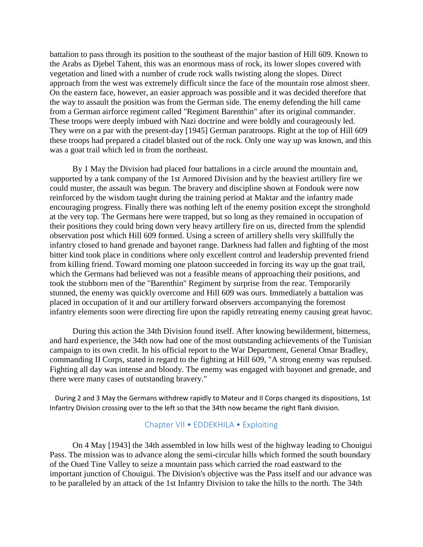battalion to pass through its position to the southeast of the major bastion of Hill 609. Known to the Arabs as Djebel Tahent, this was an enormous mass of rock, its lower slopes covered with vegetation and lined with a number of crude rock walls twisting along the slopes. Direct approach from the west was extremely difficult since the face of the mountain rose almost sheer. On the eastern face, however, an easier approach was possible and it was decided therefore that the way to assault the position was from the German side. The enemy defending the hill came from a German airforce regiment called "Regiment Barenthin" after its original commander. These troops were deeply imbued with Nazi doctrine and were boldly and courageously led. They were on a par with the present-day [1945] German paratroops. Right at the top of Hill 609 these troops had prepared a citadel blasted out of the rock. Only one way up was known, and this was a goat trail which led in from the northeast.

 By 1 May the Division had placed four battalions in a circle around the mountain and, supported by a tank company of the 1st Armored Division and by the heaviest artillery fire we could muster, the assault was begun. The bravery and discipline shown at Fondouk were now reinforced by the wisdom taught during the training period at Maktar and the infantry made encouraging progress. Finally there was nothing left of the enemy position except the stronghold at the very top. The Germans here were trapped, but so long as they remained in occupation of their positions they could bring down very heavy artillery fire on us, directed from the splendid observation post which Hill 609 formed. Using a screen of artillery shells very skillfully the infantry closed to hand grenade and bayonet range. Darkness had fallen and fighting of the most bitter kind took place in conditions where only excellent control and leadership prevented friend from killing friend. Toward morning one platoon succeeded in forcing its way up the goat trail, which the Germans had believed was not a feasible means of approaching their positions, and took the stubborn men of the "Barenthin" Regiment by surprise from the rear. Temporarily stunned, the enemy was quickly overcome and Hill 609 was ours. Immediately a battalion was placed in occupation of it and our artillery forward observers accompanying the foremost infantry elements soon were directing fire upon the rapidly retreating enemy causing great havoc.

 During this action the 34th Division found itself. After knowing bewilderment, bitterness, and hard experience, the 34th now had one of the most outstanding achievements of the Tunisian campaign to its own credit. In his official report to the War Department, General Omar Bradley, commanding II Corps, stated in regard to the fighting at Hill 609, "A strong enemy was repulsed. Fighting all day was intense and bloody. The enemy was engaged with bayonet and grenade, and there were many cases of outstanding bravery."

 During 2 and 3 May the Germans withdrew rapidly to Mateur and II Corps changed its dispositions, 1st Infantry Division crossing over to the left so that the 34th now became the right flank division.

## Chapter VII • EDDEKHILA • Exploiting

 On 4 May [1943] the 34th assembled in low hills west of the highway leading to Chouigui Pass. The mission was to advance along the semi-circular hills which formed the south boundary of the Oued Tine Valley to seize a mountain pass which carried the road eastward to the important junction of Chouigui. The Division's objective was the Pass itself and our advance was to be paralleled by an attack of the 1st Infantry Division to take the hills to the north. The 34th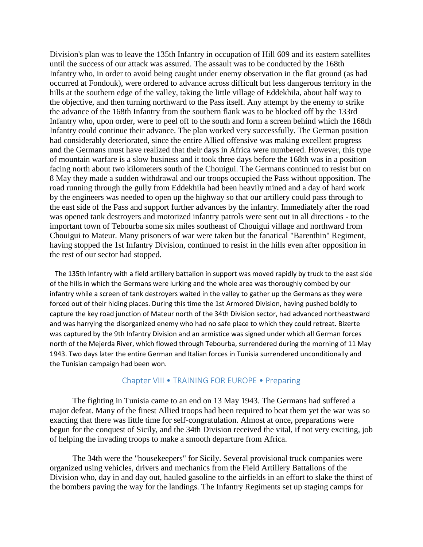Division's plan was to leave the 135th Infantry in occupation of Hill 609 and its eastern satellites until the success of our attack was assured. The assault was to be conducted by the 168th Infantry who, in order to avoid being caught under enemy observation in the flat ground (as had occurred at Fondouk), were ordered to advance across difficult but less dangerous territory in the hills at the southern edge of the valley, taking the little village of Eddekhila, about half way to the objective, and then turning northward to the Pass itself. Any attempt by the enemy to strike the advance of the 168th Infantry from the southern flank was to be blocked off by the 133rd Infantry who, upon order, were to peel off to the south and form a screen behind which the 168th Infantry could continue their advance. The plan worked very successfully. The German position had considerably deteriorated, since the entire Allied offensive was making excellent progress and the Germans must have realized that their days in Africa were numbered. However, this type of mountain warfare is a slow business and it took three days before the 168th was in a position facing north about two kilometers south of the Chouigui. The Germans continued to resist but on 8 May they made a sudden withdrawal and our troops occupied the Pass without opposition. The road running through the gully from Eddekhila had been heavily mined and a day of hard work by the engineers was needed to open up the highway so that our artillery could pass through to the east side of the Pass and support further advances by the infantry. Immediately after the road was opened tank destroyers and motorized infantry patrols were sent out in all directions - to the important town of Tebourba some six miles southeast of Chouigui village and northward from Chouigui to Mateur. Many prisoners of war were taken but the fanatical "Barenthin" Regiment, having stopped the 1st Infantry Division, continued to resist in the hills even after opposition in the rest of our sector had stopped.

 The 135th Infantry with a field artillery battalion in support was moved rapidly by truck to the east side of the hills in which the Germans were lurking and the whole area was thoroughly combed by our infantry while a screen of tank destroyers waited in the valley to gather up the Germans as they were forced out of their hiding places. During this time the 1st Armored Division, having pushed boldly to capture the key road junction of Mateur north of the 34th Division sector, had advanced northeastward and was harrying the disorganized enemy who had no safe place to which they could retreat. Bizerte was captured by the 9th Infantry Division and an armistice was signed under which all German forces north of the Mejerda River, which flowed through Tebourba, surrendered during the morning of 11 May 1943. Two days later the entire German and Italian forces in Tunisia surrendered unconditionally and the Tunisian campaign had been won.

## Chapter VIII • TRAINING FOR EUROPE • Preparing

 The fighting in Tunisia came to an end on 13 May 1943. The Germans had suffered a major defeat. Many of the finest Allied troops had been required to beat them yet the war was so exacting that there was little time for self-congratulation. Almost at once, preparations were begun for the conquest of Sicily, and the 34th Division received the vital, if not very exciting, job of helping the invading troops to make a smooth departure from Africa.

 The 34th were the "housekeepers" for Sicily. Several provisional truck companies were organized using vehicles, drivers and mechanics from the Field Artillery Battalions of the Division who, day in and day out, hauled gasoline to the airfields in an effort to slake the thirst of the bombers paving the way for the landings. The Infantry Regiments set up staging camps for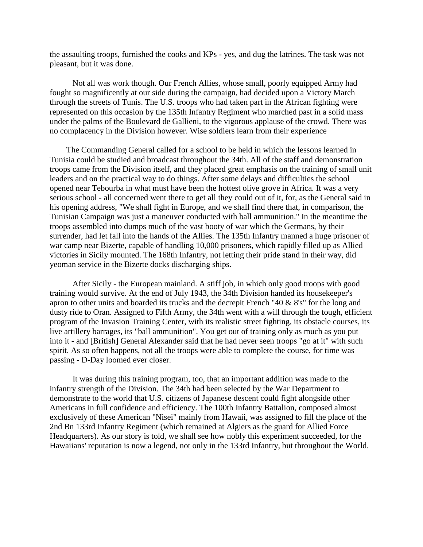the assaulting troops, furnished the cooks and KPs - yes, and dug the latrines. The task was not pleasant, but it was done.

 Not all was work though. Our French Allies, whose small, poorly equipped Army had fought so magnificently at our side during the campaign, had decided upon a Victory March through the streets of Tunis. The U.S. troops who had taken part in the African fighting were represented on this occasion by the 135th Infantry Regiment who marched past in a solid mass under the palms of the Boulevard de Gallieni, to the vigorous applause of the crowd. There was no complacency in the Division however. Wise soldiers learn from their experience

The Commanding General called for a school to be held in which the lessons learned in Tunisia could be studied and broadcast throughout the 34th. All of the staff and demonstration troops came from the Division itself, and they placed great emphasis on the training of small unit leaders and on the practical way to do things. After some delays and difficulties the school opened near Tebourba in what must have been the hottest olive grove in Africa. It was a very serious school - all concerned went there to get all they could out of it, for, as the General said in his opening address, "We shall fight in Europe, and we shall find there that, in comparison, the Tunisian Campaign was just a maneuver conducted with ball ammunition." In the meantime the troops assembled into dumps much of the vast booty of war which the Germans, by their surrender, had let fall into the hands of the Allies. The 135th Infantry manned a huge prisoner of war camp near Bizerte, capable of handling 10,000 prisoners, which rapidly filled up as Allied victories in Sicily mounted. The 168th Infantry, not letting their pride stand in their way, did yeoman service in the Bizerte docks discharging ships.

 After Sicily - the European mainland. A stiff job, in which only good troops with good training would survive. At the end of July 1943, the 34th Division handed its housekeeper's apron to other units and boarded its trucks and the decrepit French "40 & 8's" for the long and dusty ride to Oran. Assigned to Fifth Army, the 34th went with a will through the tough, efficient program of the Invasion Training Center, with its realistic street fighting, its obstacle courses, its live artillery barrages, its "ball ammunition". You get out of training only as much as you put into it - and [British] General Alexander said that he had never seen troops "go at it" with such spirit. As so often happens, not all the troops were able to complete the course, for time was passing - D-Day loomed ever closer.

 It was during this training program, too, that an important addition was made to the infantry strength of the Division. The 34th had been selected by the War Department to demonstrate to the world that U.S. citizens of Japanese descent could fight alongside other Americans in full confidence and efficiency. The 100th Infantry Battalion, composed almost exclusively of these American "Nisei" mainly from Hawaii, was assigned to fill the place of the 2nd Bn 133rd Infantry Regiment (which remained at Algiers as the guard for Allied Force Headquarters). As our story is told, we shall see how nobly this experiment succeeded, for the Hawaiians' reputation is now a legend, not only in the 133rd Infantry, but throughout the World.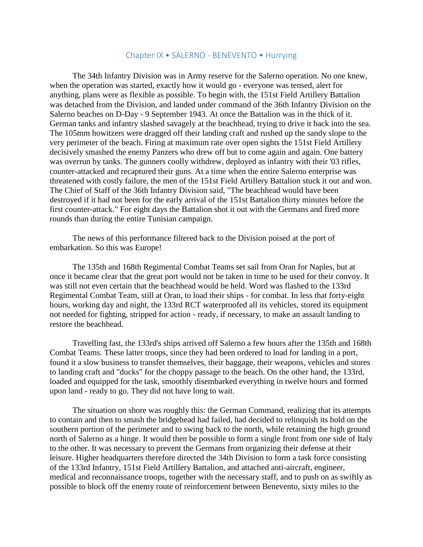#### Chapter IX • SALERNO - BENEVENTO • Hurrying

 The 34th Infantry Division was in Army reserve for the Salerno operation. No one knew, when the operation was started, exactly how it would go - everyone was tensed, alert for anything, plans were as flexible as possible. To begin with, the 151st Field Artillery Battalion was detached from the Division, and landed under command of the 36th Infantry Division on the Salerno beaches on D-Day - 9 September 1943. At once the Battalion was in the thick of it. German tanks and infantry slashed savagely at the beachhead, trying to drive it back into the sea. The 105mm howitzers were dragged off their landing craft and rushed up the sandy slope to the very perimeter of the beach. Firing at maximum rate over open sights the 151st Field Artillery decisively smashed the enemy Panzers who drew off but to come again and again. One battery was overrun by tanks. The gunners coolly withdrew, deployed as infantry with their '03 rifles, counter-attacked and recaptured their guns. At a time when the entire Salerno enterprise was threatened with costly failure, the men of the 151st Field Artillery Battalion stuck it out and won. The Chief of Staff of the 36th Infantry Division said, "The beachhead would have been destroyed if it had not been for the early arrival of the 151st Battalion thirty minutes before the first counter-attack." For eight days the Battalion shot it out with the Germans and fired more rounds than during the entire Tunisian campaign.

 The news of this performance filtered back to the Division poised at the port of embarkation. So this was Europe!

 The 135th and 168th Regimental Combat Teams set sail from Oran for Naples, but at once it became clear that the great port would not be taken in time to be used for their convoy. It was still not even certain that the beachhead would be held. Word was flashed to the 133rd Regimental Combat Team, still at Oran, to load their ships - for combat. In less that forty-eight hours, working day and night, the 133rd RCT waterproofed all its vehicles, stored its equipment not needed for fighting, stripped for action - ready, if necessary, to make an assault landing to restore the beachhead.

 Travelling fast, the 133rd's ships arrived off Salerno a few hours after the 135th and 168th Combat Teams. These latter troops, since they had been ordered to load for landing in a port, found it a slow business to transfer themselves, their baggage, their weapons, vehicles and stores to landing craft and "ducks" for the choppy passage to the beach. On the other hand, the 133rd, loaded and equipped for the task, smoothly disembarked everything in twelve hours and formed upon land - ready to go. They did not have long to wait.

 The situation on shore was roughly this: the German Command, realizing that its attempts to contain and then to smash the bridgehead had failed, had decided to relinquish its hold on the southern portion of the perimeter and to swing back to the north, while retaining the high ground north of Salerno as a hinge. It would then be possible to form a single front from one side of Italy to the other. It was necessary to prevent the Germans from organizing their defense at their leisure. Higher headquarters therefore directed the 34th Division to form a task force consisting of the 133rd Infantry, 151st Field Artillery Battalion, and attached anti-aircraft, engineer, medical and reconnaissance troops, together with the necessary staff, and to push on as swiftly as possible to block off the enemy route of reinforcement between Benevento, sixty miles to the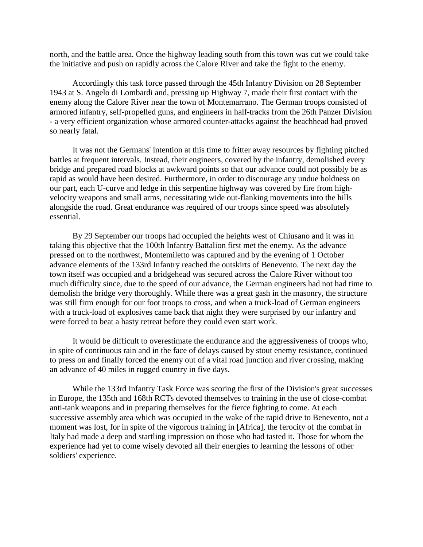north, and the battle area. Once the highway leading south from this town was cut we could take the initiative and push on rapidly across the Calore River and take the fight to the enemy.

 Accordingly this task force passed through the 45th Infantry Division on 28 September 1943 at S. Angelo di Lombardi and, pressing up Highway 7, made their first contact with the enemy along the Calore River near the town of Montemarrano. The German troops consisted of armored infantry, self-propelled guns, and engineers in half-tracks from the 26th Panzer Division - a very efficient organization whose armored counter-attacks against the beachhead had proved so nearly fatal.

 It was not the Germans' intention at this time to fritter away resources by fighting pitched battles at frequent intervals. Instead, their engineers, covered by the infantry, demolished every bridge and prepared road blocks at awkward points so that our advance could not possibly be as rapid as would have been desired. Furthermore, in order to discourage any undue boldness on our part, each U-curve and ledge in this serpentine highway was covered by fire from highvelocity weapons and small arms, necessitating wide out-flanking movements into the hills alongside the road. Great endurance was required of our troops since speed was absolutely essential.

 By 29 September our troops had occupied the heights west of Chiusano and it was in taking this objective that the 100th Infantry Battalion first met the enemy. As the advance pressed on to the northwest, Montemiletto was captured and by the evening of 1 October advance elements of the 133rd Infantry reached the outskirts of Benevento. The next day the town itself was occupied and a bridgehead was secured across the Calore River without too much difficulty since, due to the speed of our advance, the German engineers had not had time to demolish the bridge very thoroughly. While there was a great gash in the masonry, the structure was still firm enough for our foot troops to cross, and when a truck-load of German engineers with a truck-load of explosives came back that night they were surprised by our infantry and were forced to beat a hasty retreat before they could even start work.

 It would be difficult to overestimate the endurance and the aggressiveness of troops who, in spite of continuous rain and in the face of delays caused by stout enemy resistance, continued to press on and finally forced the enemy out of a vital road junction and river crossing, making an advance of 40 miles in rugged country in five days.

 While the 133rd Infantry Task Force was scoring the first of the Division's great successes in Europe, the 135th and 168th RCTs devoted themselves to training in the use of close-combat anti-tank weapons and in preparing themselves for the fierce fighting to come. At each successive assembly area which was occupied in the wake of the rapid drive to Benevento, not a moment was lost, for in spite of the vigorous training in [Africa], the ferocity of the combat in Italy had made a deep and startling impression on those who had tasted it. Those for whom the experience had yet to come wisely devoted all their energies to learning the lessons of other soldiers' experience.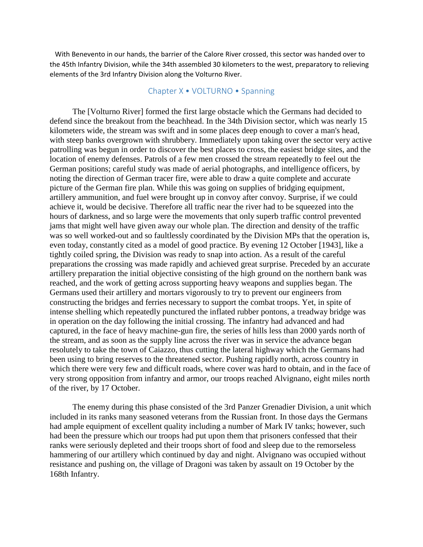With Benevento in our hands, the barrier of the Calore River crossed, this sector was handed over to the 45th Infantry Division, while the 34th assembled 30 kilometers to the west, preparatory to relieving elements of the 3rd Infantry Division along the Volturno River.

## Chapter X • VOLTURNO • Spanning

 The [Volturno River] formed the first large obstacle which the Germans had decided to defend since the breakout from the beachhead. In the 34th Division sector, which was nearly 15 kilometers wide, the stream was swift and in some places deep enough to cover a man's head, with steep banks overgrown with shrubbery. Immediately upon taking over the sector very active patrolling was begun in order to discover the best places to cross, the easiest bridge sites, and the location of enemy defenses. Patrols of a few men crossed the stream repeatedly to feel out the German positions; careful study was made of aerial photographs, and intelligence officers, by noting the direction of German tracer fire, were able to draw a quite complete and accurate picture of the German fire plan. While this was going on supplies of bridging equipment, artillery ammunition, and fuel were brought up in convoy after convoy. Surprise, if we could achieve it, would be decisive. Therefore all traffic near the river had to be squeezed into the hours of darkness, and so large were the movements that only superb traffic control prevented jams that might well have given away our whole plan. The direction and density of the traffic was so well worked-out and so faultlessly coordinated by the Division MPs that the operation is, even today, constantly cited as a model of good practice. By evening 12 October [1943], like a tightly coiled spring, the Division was ready to snap into action. As a result of the careful preparations the crossing was made rapidly and achieved great surprise. Preceded by an accurate artillery preparation the initial objective consisting of the high ground on the northern bank was reached, and the work of getting across supporting heavy weapons and supplies began. The Germans used their artillery and mortars vigorously to try to prevent our engineers from constructing the bridges and ferries necessary to support the combat troops. Yet, in spite of intense shelling which repeatedly punctured the inflated rubber pontons, a treadway bridge was in operation on the day following the initial crossing. The infantry had advanced and had captured, in the face of heavy machine-gun fire, the series of hills less than 2000 yards north of the stream, and as soon as the supply line across the river was in service the advance began resolutely to take the town of Caiazzo, thus cutting the lateral highway which the Germans had been using to bring reserves to the threatened sector. Pushing rapidly north, across country in which there were very few and difficult roads, where cover was hard to obtain, and in the face of very strong opposition from infantry and armor, our troops reached Alvignano, eight miles north of the river, by 17 October.

 The enemy during this phase consisted of the 3rd Panzer Grenadier Division, a unit which included in its ranks many seasoned veterans from the Russian front. In those days the Germans had ample equipment of excellent quality including a number of Mark IV tanks; however, such had been the pressure which our troops had put upon them that prisoners confessed that their ranks were seriously depleted and their troops short of food and sleep due to the remorseless hammering of our artillery which continued by day and night. Alvignano was occupied without resistance and pushing on, the village of Dragoni was taken by assault on 19 October by the 168th Infantry.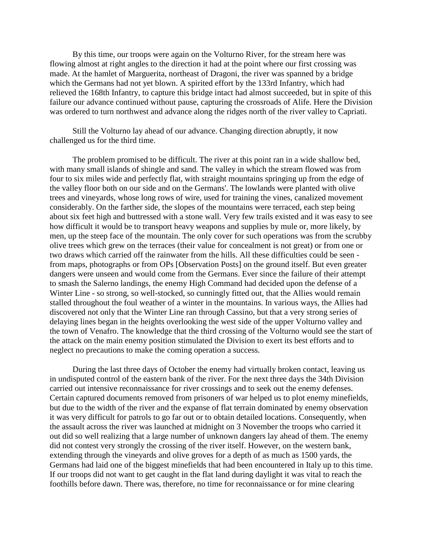By this time, our troops were again on the Volturno River, for the stream here was flowing almost at right angles to the direction it had at the point where our first crossing was made. At the hamlet of Marguerita, northeast of Dragoni, the river was spanned by a bridge which the Germans had not yet blown. A spirited effort by the 133rd Infantry, which had relieved the 168th Infantry, to capture this bridge intact had almost succeeded, but in spite of this failure our advance continued without pause, capturing the crossroads of Alife. Here the Division was ordered to turn northwest and advance along the ridges north of the river valley to Capriati.

 Still the Volturno lay ahead of our advance. Changing direction abruptly, it now challenged us for the third time.

 The problem promised to be difficult. The river at this point ran in a wide shallow bed, with many small islands of shingle and sand. The valley in which the stream flowed was from four to six miles wide and perfectly flat, with straight mountains springing up from the edge of the valley floor both on our side and on the Germans'. The lowlands were planted with olive trees and vineyards, whose long rows of wire, used for training the vines, canalized movement considerably. On the farther side, the slopes of the mountains were terraced, each step being about six feet high and buttressed with a stone wall. Very few trails existed and it was easy to see how difficult it would be to transport heavy weapons and supplies by mule or, more likely, by men, up the steep face of the mountain. The only cover for such operations was from the scrubby olive trees which grew on the terraces (their value for concealment is not great) or from one or two draws which carried off the rainwater from the hills. All these difficulties could be seen from maps, photographs or from OPs [Observation Posts] on the ground itself. But even greater dangers were unseen and would come from the Germans. Ever since the failure of their attempt to smash the Salerno landings, the enemy High Command had decided upon the defense of a Winter Line - so strong, so well-stocked, so cunningly fitted out, that the Allies would remain stalled throughout the foul weather of a winter in the mountains. In various ways, the Allies had discovered not only that the Winter Line ran through Cassino, but that a very strong series of delaying lines began in the heights overlooking the west side of the upper Volturno valley and the town of Venafro. The knowledge that the third crossing of the Volturno would see the start of the attack on the main enemy position stimulated the Division to exert its best efforts and to neglect no precautions to make the coming operation a success.

 During the last three days of October the enemy had virtually broken contact, leaving us in undisputed control of the eastern bank of the river. For the next three days the 34th Division carried out intensive reconnaissance for river crossings and to seek out the enemy defenses. Certain captured documents removed from prisoners of war helped us to plot enemy minefields, but due to the width of the river and the expanse of flat terrain dominated by enemy observation it was very difficult for patrols to go far out or to obtain detailed locations. Consequently, when the assault across the river was launched at midnight on 3 November the troops who carried it out did so well realizing that a large number of unknown dangers lay ahead of them. The enemy did not contest very strongly the crossing of the river itself. However, on the western bank, extending through the vineyards and olive groves for a depth of as much as 1500 yards, the Germans had laid one of the biggest minefields that had been encountered in Italy up to this time. If our troops did not want to get caught in the flat land during daylight it was vital to reach the foothills before dawn. There was, therefore, no time for reconnaissance or for mine clearing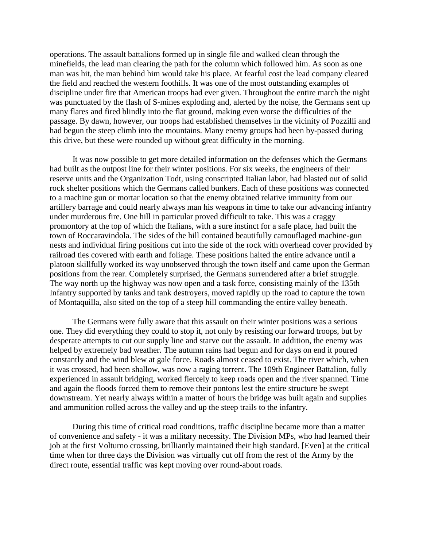operations. The assault battalions formed up in single file and walked clean through the minefields, the lead man clearing the path for the column which followed him. As soon as one man was hit, the man behind him would take his place. At fearful cost the lead company cleared the field and reached the western foothills. It was one of the most outstanding examples of discipline under fire that American troops had ever given. Throughout the entire march the night was punctuated by the flash of S-mines exploding and, alerted by the noise, the Germans sent up many flares and fired blindly into the flat ground, making even worse the difficulties of the passage. By dawn, however, our troops had established themselves in the vicinity of Pozzilli and had begun the steep climb into the mountains. Many enemy groups had been by-passed during this drive, but these were rounded up without great difficulty in the morning.

 It was now possible to get more detailed information on the defenses which the Germans had built as the outpost line for their winter positions. For six weeks, the engineers of their reserve units and the Organization Todt, using conscripted Italian labor, had blasted out of solid rock shelter positions which the Germans called bunkers. Each of these positions was connected to a machine gun or mortar location so that the enemy obtained relative immunity from our artillery barrage and could nearly always man his weapons in time to take our advancing infantry under murderous fire. One hill in particular proved difficult to take. This was a craggy promontory at the top of which the Italians, with a sure instinct for a safe place, had built the town of Roccaravindola. The sides of the hill contained beautifully camouflaged machine-gun nests and individual firing positions cut into the side of the rock with overhead cover provided by railroad ties covered with earth and foliage. These positions halted the entire advance until a platoon skillfully worked its way unobserved through the town itself and came upon the German positions from the rear. Completely surprised, the Germans surrendered after a brief struggle. The way north up the highway was now open and a task force, consisting mainly of the 135th Infantry supported by tanks and tank destroyers, moved rapidly up the road to capture the town of Montaquilla, also sited on the top of a steep hill commanding the entire valley beneath.

 The Germans were fully aware that this assault on their winter positions was a serious one. They did everything they could to stop it, not only by resisting our forward troops, but by desperate attempts to cut our supply line and starve out the assault. In addition, the enemy was helped by extremely bad weather. The autumn rains had begun and for days on end it poured constantly and the wind blew at gale force. Roads almost ceased to exist. The river which, when it was crossed, had been shallow, was now a raging torrent. The 109th Engineer Battalion, fully experienced in assault bridging, worked fiercely to keep roads open and the river spanned. Time and again the floods forced them to remove their pontons lest the entire structure be swept downstream. Yet nearly always within a matter of hours the bridge was built again and supplies and ammunition rolled across the valley and up the steep trails to the infantry.

 During this time of critical road conditions, traffic discipline became more than a matter of convenience and safety - it was a military necessity. The Division MPs, who had learned their job at the first Volturno crossing, brilliantly maintained their high standard. [Even] at the critical time when for three days the Division was virtually cut off from the rest of the Army by the direct route, essential traffic was kept moving over round-about roads.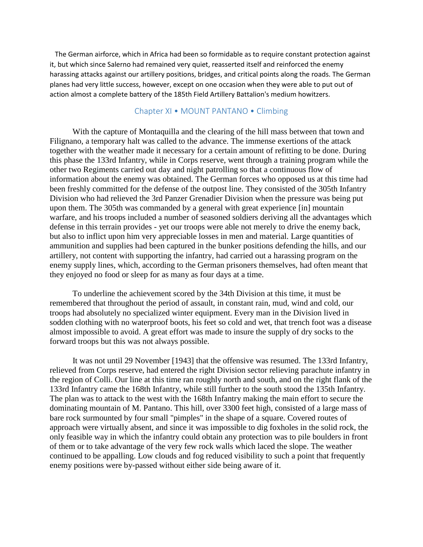The German airforce, which in Africa had been so formidable as to require constant protection against it, but which since Salerno had remained very quiet, reasserted itself and reinforced the enemy harassing attacks against our artillery positions, bridges, and critical points along the roads. The German planes had very little success, however, except on one occasion when they were able to put out of action almost a complete battery of the 185th Field Artillery Battalion's medium howitzers.

### Chapter XI • MOUNT PANTANO • Climbing

 With the capture of Montaquilla and the clearing of the hill mass between that town and Filignano, a temporary halt was called to the advance. The immense exertions of the attack together with the weather made it necessary for a certain amount of refitting to be done. During this phase the 133rd Infantry, while in Corps reserve, went through a training program while the other two Regiments carried out day and night patrolling so that a continuous flow of information about the enemy was obtained. The German forces who opposed us at this time had been freshly committed for the defense of the outpost line. They consisted of the 305th Infantry Division who had relieved the 3rd Panzer Grenadier Division when the pressure was being put upon them. The 305th was commanded by a general with great experience [in] mountain warfare, and his troops included a number of seasoned soldiers deriving all the advantages which defense in this terrain provides - yet our troops were able not merely to drive the enemy back, but also to inflict upon him very appreciable losses in men and material. Large quantities of ammunition and supplies had been captured in the bunker positions defending the hills, and our artillery, not content with supporting the infantry, had carried out a harassing program on the enemy supply lines, which, according to the German prisoners themselves, had often meant that they enjoyed no food or sleep for as many as four days at a time.

 To underline the achievement scored by the 34th Division at this time, it must be remembered that throughout the period of assault, in constant rain, mud, wind and cold, our troops had absolutely no specialized winter equipment. Every man in the Division lived in sodden clothing with no waterproof boots, his feet so cold and wet, that trench foot was a disease almost impossible to avoid. A great effort was made to insure the supply of dry socks to the forward troops but this was not always possible.

 It was not until 29 November [1943] that the offensive was resumed. The 133rd Infantry, relieved from Corps reserve, had entered the right Division sector relieving parachute infantry in the region of Colli. Our line at this time ran roughly north and south, and on the right flank of the 133rd Infantry came the 168th Infantry, while still further to the south stood the 135th Infantry. The plan was to attack to the west with the 168th Infantry making the main effort to secure the dominating mountain of M. Pantano. This hill, over 3300 feet high, consisted of a large mass of bare rock surmounted by four small "pimples" in the shape of a square. Covered routes of approach were virtually absent, and since it was impossible to dig foxholes in the solid rock, the only feasible way in which the infantry could obtain any protection was to pile boulders in front of them or to take advantage of the very few rock walls which laced the slope. The weather continued to be appalling. Low clouds and fog reduced visibility to such a point that frequently enemy positions were by-passed without either side being aware of it.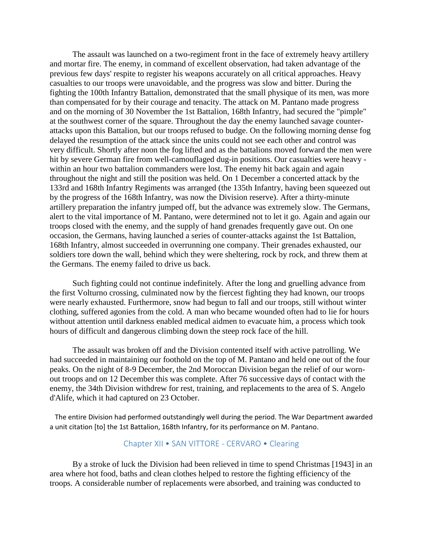The assault was launched on a two-regiment front in the face of extremely heavy artillery and mortar fire. The enemy, in command of excellent observation, had taken advantage of the previous few days' respite to register his weapons accurately on all critical approaches. Heavy casualties to our troops were unavoidable, and the progress was slow and bitter. During the fighting the 100th Infantry Battalion, demonstrated that the small physique of its men, was more than compensated for by their courage and tenacity. The attack on M. Pantano made progress and on the morning of 30 November the 1st Battalion, 168th Infantry, had secured the "pimple" at the southwest corner of the square. Throughout the day the enemy launched savage counterattacks upon this Battalion, but our troops refused to budge. On the following morning dense fog delayed the resumption of the attack since the units could not see each other and control was very difficult. Shortly after noon the fog lifted and as the battalions moved forward the men were hit by severe German fire from well-camouflaged dug-in positions. Our casualties were heavy within an hour two battalion commanders were lost. The enemy hit back again and again throughout the night and still the position was held. On 1 December a concerted attack by the 133rd and 168th Infantry Regiments was arranged (the 135th Infantry, having been squeezed out by the progress of the 168th Infantry, was now the Division reserve). After a thirty-minute artillery preparation the infantry jumped off, but the advance was extremely slow. The Germans, alert to the vital importance of M. Pantano, were determined not to let it go. Again and again our troops closed with the enemy, and the supply of hand grenades frequently gave out. On one occasion, the Germans, having launched a series of counter-attacks against the 1st Battalion, 168th Infantry, almost succeeded in overrunning one company. Their grenades exhausted, our soldiers tore down the wall, behind which they were sheltering, rock by rock, and threw them at the Germans. The enemy failed to drive us back.

 Such fighting could not continue indefinitely. After the long and gruelling advance from the first Volturno crossing, culminated now by the fiercest fighting they had known, our troops were nearly exhausted. Furthermore, snow had begun to fall and our troops, still without winter clothing, suffered agonies from the cold. A man who became wounded often had to lie for hours without attention until darkness enabled medical aidmen to evacuate him, a process which took hours of difficult and dangerous climbing down the steep rock face of the hill.

 The assault was broken off and the Division contented itself with active patrolling. We had succeeded in maintaining our foothold on the top of M. Pantano and held one out of the four peaks. On the night of 8-9 December, the 2nd Moroccan Division began the relief of our wornout troops and on 12 December this was complete. After 76 successive days of contact with the enemy, the 34th Division withdrew for rest, training, and replacements to the area of S. Angelo d'Alife, which it had captured on 23 October.

 The entire Division had performed outstandingly well during the period. The War Department awarded a unit citation [to] the 1st Battalion, 168th Infantry, for its performance on M. Pantano.

#### Chapter XII • SAN VITTORE - CERVARO • Clearing

 By a stroke of luck the Division had been relieved in time to spend Christmas [1943] in an area where hot food, baths and clean clothes helped to restore the fighting efficiency of the troops. A considerable number of replacements were absorbed, and training was conducted to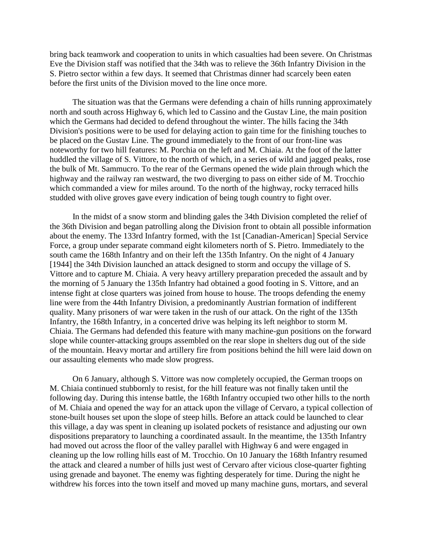bring back teamwork and cooperation to units in which casualties had been severe. On Christmas Eve the Division staff was notified that the 34th was to relieve the 36th Infantry Division in the S. Pietro sector within a few days. It seemed that Christmas dinner had scarcely been eaten before the first units of the Division moved to the line once more.

 The situation was that the Germans were defending a chain of hills running approximately north and south across Highway 6, which led to Cassino and the Gustav Line, the main position which the Germans had decided to defend throughout the winter. The hills facing the 34th Division's positions were to be used for delaying action to gain time for the finishing touches to be placed on the Gustav Line. The ground immediately to the front of our front-line was noteworthy for two hill features: M. Porchia on the left and M. Chiaia. At the foot of the latter huddled the village of S. Vittore, to the north of which, in a series of wild and jagged peaks, rose the bulk of Mt. Sammucro. To the rear of the Germans opened the wide plain through which the highway and the railway ran westward, the two diverging to pass on either side of M. Trocchio which commanded a view for miles around. To the north of the highway, rocky terraced hills studded with olive groves gave every indication of being tough country to fight over.

 In the midst of a snow storm and blinding gales the 34th Division completed the relief of the 36th Division and began patrolling along the Division front to obtain all possible information about the enemy. The 133rd Infantry formed, with the 1st [Canadian-American] Special Service Force, a group under separate command eight kilometers north of S. Pietro. Immediately to the south came the 168th Infantry and on their left the 135th Infantry. On the night of 4 January [1944] the 34th Division launched an attack designed to storm and occupy the village of S. Vittore and to capture M. Chiaia. A very heavy artillery preparation preceded the assault and by the morning of 5 January the 135th Infantry had obtained a good footing in S. Vittore, and an intense fight at close quarters was joined from house to house. The troops defending the enemy line were from the 44th Infantry Division, a predominantly Austrian formation of indifferent quality. Many prisoners of war were taken in the rush of our attack. On the right of the 135th Infantry, the 168th Infantry, in a concerted drive was helping its left neighbor to storm M. Chiaia. The Germans had defended this feature with many machine-gun positions on the forward slope while counter-attacking groups assembled on the rear slope in shelters dug out of the side of the mountain. Heavy mortar and artillery fire from positions behind the hill were laid down on our assaulting elements who made slow progress.

 On 6 January, although S. Vittore was now completely occupied, the German troops on M. Chiaia continued stubbornly to resist, for the hill feature was not finally taken until the following day. During this intense battle, the 168th Infantry occupied two other hills to the north of M. Chiaia and opened the way for an attack upon the village of Cervaro, a typical collection of stone-built houses set upon the slope of steep hills. Before an attack could be launched to clear this village, a day was spent in cleaning up isolated pockets of resistance and adjusting our own dispositions preparatory to launching a coordinated assault. In the meantime, the 135th Infantry had moved out across the floor of the valley parallel with Highway 6 and were engaged in cleaning up the low rolling hills east of M. Trocchio. On 10 January the 168th Infantry resumed the attack and cleared a number of hills just west of Cervaro after vicious close-quarter fighting using grenade and bayonet. The enemy was fighting desperately for time. During the night he withdrew his forces into the town itself and moved up many machine guns, mortars, and several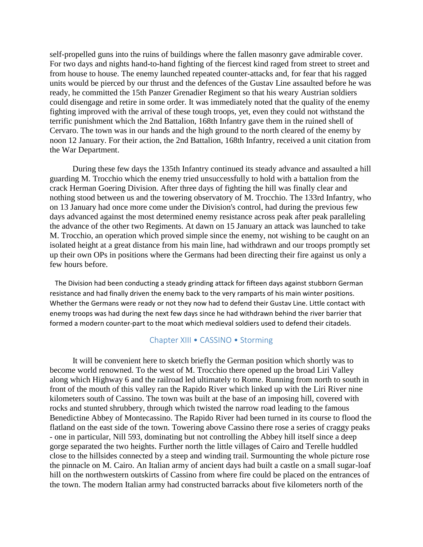self-propelled guns into the ruins of buildings where the fallen masonry gave admirable cover. For two days and nights hand-to-hand fighting of the fiercest kind raged from street to street and from house to house. The enemy launched repeated counter-attacks and, for fear that his ragged units would be pierced by our thrust and the defences of the Gustav Line assaulted before he was ready, he committed the 15th Panzer Grenadier Regiment so that his weary Austrian soldiers could disengage and retire in some order. It was immediately noted that the quality of the enemy fighting improved with the arrival of these tough troops, yet, even they could not withstand the terrific punishment which the 2nd Battalion, 168th Infantry gave them in the ruined shell of Cervaro. The town was in our hands and the high ground to the north cleared of the enemy by noon 12 January. For their action, the 2nd Battalion, 168th Infantry, received a unit citation from the War Department.

 During these few days the 135th Infantry continued its steady advance and assaulted a hill guarding M. Trocchio which the enemy tried unsuccessfully to hold with a battalion from the crack Herman Goering Division. After three days of fighting the hill was finally clear and nothing stood between us and the towering observatory of M. Trocchio. The 133rd Infantry, who on 13 January had once more come under the Division's control, had during the previous few days advanced against the most determined enemy resistance across peak after peak paralleling the advance of the other two Regiments. At dawn on 15 January an attack was launched to take M. Trocchio, an operation which proved simple since the enemy, not wishing to be caught on an isolated height at a great distance from his main line, had withdrawn and our troops promptly set up their own OPs in positions where the Germans had been directing their fire against us only a few hours before.

 The Division had been conducting a steady grinding attack for fifteen days against stubborn German resistance and had finally driven the enemy back to the very ramparts of his main winter positions. Whether the Germans were ready or not they now had to defend their Gustav Line. Little contact with enemy troops was had during the next few days since he had withdrawn behind the river barrier that formed a modern counter-part to the moat which medieval soldiers used to defend their citadels.

# Chapter XIII • CASSINO • Storming

 It will be convenient here to sketch briefly the German position which shortly was to become world renowned. To the west of M. Trocchio there opened up the broad Liri Valley along which Highway 6 and the railroad led ultimately to Rome. Running from north to south in front of the mouth of this valley ran the Rapido River which linked up with the Liri River nine kilometers south of Cassino. The town was built at the base of an imposing hill, covered with rocks and stunted shrubbery, through which twisted the narrow road leading to the famous Benedictine Abbey of Montecassino. The Rapido River had been turned in its course to flood the flatland on the east side of the town. Towering above Cassino there rose a series of craggy peaks - one in particular, Nill 593, dominating but not controlling the Abbey hill itself since a deep gorge separated the two heights. Further north the little villages of Cairo and Terelle huddled close to the hillsides connected by a steep and winding trail. Surmounting the whole picture rose the pinnacle on M. Cairo. An Italian army of ancient days had built a castle on a small sugar-loaf hill on the northwestern outskirts of Cassino from where fire could be placed on the entrances of the town. The modern Italian army had constructed barracks about five kilometers north of the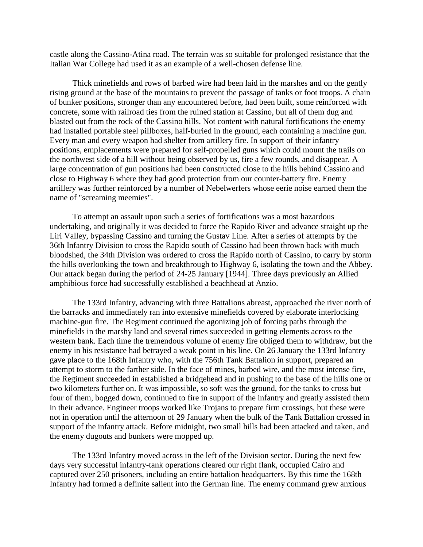castle along the Cassino-Atina road. The terrain was so suitable for prolonged resistance that the Italian War College had used it as an example of a well-chosen defense line.

 Thick minefields and rows of barbed wire had been laid in the marshes and on the gently rising ground at the base of the mountains to prevent the passage of tanks or foot troops. A chain of bunker positions, stronger than any encountered before, had been built, some reinforced with concrete, some with railroad ties from the ruined station at Cassino, but all of them dug and blasted out from the rock of the Cassino hills. Not content with natural fortifications the enemy had installed portable steel pillboxes, half-buried in the ground, each containing a machine gun. Every man and every weapon had shelter from artillery fire. In support of their infantry positions, emplacements were prepared for self-propelled guns which could mount the trails on the northwest side of a hill without being observed by us, fire a few rounds, and disappear. A large concentration of gun positions had been constructed close to the hills behind Cassino and close to Highway 6 where they had good protection from our counter-battery fire. Enemy artillery was further reinforced by a number of Nebelwerfers whose eerie noise earned them the name of "screaming meemies".

 To attempt an assault upon such a series of fortifications was a most hazardous undertaking, and originally it was decided to force the Rapido River and advance straight up the Liri Valley, bypassing Cassino and turning the Gustav Line. After a series of attempts by the 36th Infantry Division to cross the Rapido south of Cassino had been thrown back with much bloodshed, the 34th Division was ordered to cross the Rapido north of Cassino, to carry by storm the hills overlooking the town and breakthrough to Highway 6, isolating the town and the Abbey. Our attack began during the period of 24-25 January [1944]. Three days previously an Allied amphibious force had successfully established a beachhead at Anzio.

 The 133rd Infantry, advancing with three Battalions abreast, approached the river north of the barracks and immediately ran into extensive minefields covered by elaborate interlocking machine-gun fire. The Regiment continued the agonizing job of forcing paths through the minefields in the marshy land and several times succeeded in getting elements across to the western bank. Each time the tremendous volume of enemy fire obliged them to withdraw, but the enemy in his resistance had betrayed a weak point in his line. On 26 January the 133rd Infantry gave place to the 168th Infantry who, with the 756th Tank Battalion in support, prepared an attempt to storm to the farther side. In the face of mines, barbed wire, and the most intense fire, the Regiment succeeded in established a bridgehead and in pushing to the base of the hills one or two kilometers further on. It was impossible, so soft was the ground, for the tanks to cross but four of them, bogged down, continued to fire in support of the infantry and greatly assisted them in their advance. Engineer troops worked like Trojans to prepare firm crossings, but these were not in operation until the afternoon of 29 January when the bulk of the Tank Battalion crossed in support of the infantry attack. Before midnight, two small hills had been attacked and taken, and the enemy dugouts and bunkers were mopped up.

 The 133rd Infantry moved across in the left of the Division sector. During the next few days very successful infantry-tank operations cleared our right flank, occupied Cairo and captured over 250 prisoners, including an entire battalion headquarters. By this time the 168th Infantry had formed a definite salient into the German line. The enemy command grew anxious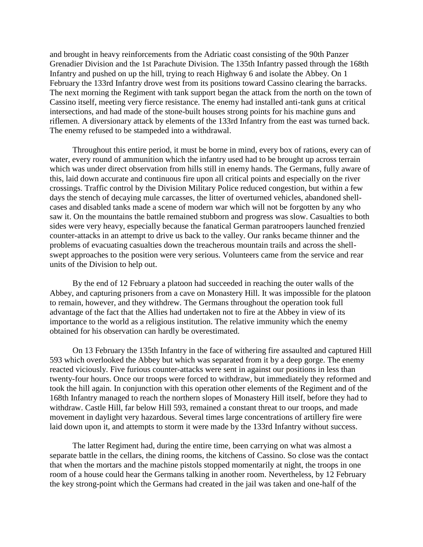and brought in heavy reinforcements from the Adriatic coast consisting of the 90th Panzer Grenadier Division and the 1st Parachute Division. The 135th Infantry passed through the 168th Infantry and pushed on up the hill, trying to reach Highway 6 and isolate the Abbey. On 1 February the 133rd Infantry drove west from its positions toward Cassino clearing the barracks. The next morning the Regiment with tank support began the attack from the north on the town of Cassino itself, meeting very fierce resistance. The enemy had installed anti-tank guns at critical intersections, and had made of the stone-built houses strong points for his machine guns and riflemen. A diversionary attack by elements of the 133rd Infantry from the east was turned back. The enemy refused to be stampeded into a withdrawal.

 Throughout this entire period, it must be borne in mind, every box of rations, every can of water, every round of ammunition which the infantry used had to be brought up across terrain which was under direct observation from hills still in enemy hands. The Germans, fully aware of this, laid down accurate and continuous fire upon all critical points and especially on the river crossings. Traffic control by the Division Military Police reduced congestion, but within a few days the stench of decaying mule carcasses, the litter of overturned vehicles, abandoned shellcases and disabled tanks made a scene of modern war which will not be forgotten by any who saw it. On the mountains the battle remained stubborn and progress was slow. Casualties to both sides were very heavy, especially because the fanatical German paratroopers launched frenzied counter-attacks in an attempt to drive us back to the valley. Our ranks became thinner and the problems of evacuating casualties down the treacherous mountain trails and across the shellswept approaches to the position were very serious. Volunteers came from the service and rear units of the Division to help out.

 By the end of 12 February a platoon had succeeded in reaching the outer walls of the Abbey, and capturing prisoners from a cave on Monastery Hill. It was impossible for the platoon to remain, however, and they withdrew. The Germans throughout the operation took full advantage of the fact that the Allies had undertaken not to fire at the Abbey in view of its importance to the world as a religious institution. The relative immunity which the enemy obtained for his observation can hardly be overestimated.

 On 13 February the 135th Infantry in the face of withering fire assaulted and captured Hill 593 which overlooked the Abbey but which was separated from it by a deep gorge. The enemy reacted viciously. Five furious counter-attacks were sent in against our positions in less than twenty-four hours. Once our troops were forced to withdraw, but immediately they reformed and took the hill again. In conjunction with this operation other elements of the Regiment and of the 168th Infantry managed to reach the northern slopes of Monastery Hill itself, before they had to withdraw. Castle Hill, far below Hill 593, remained a constant threat to our troops, and made movement in daylight very hazardous. Several times large concentrations of artillery fire were laid down upon it, and attempts to storm it were made by the 133rd Infantry without success.

 The latter Regiment had, during the entire time, been carrying on what was almost a separate battle in the cellars, the dining rooms, the kitchens of Cassino. So close was the contact that when the mortars and the machine pistols stopped momentarily at night, the troops in one room of a house could hear the Germans talking in another room. Nevertheless, by 12 February the key strong-point which the Germans had created in the jail was taken and one-half of the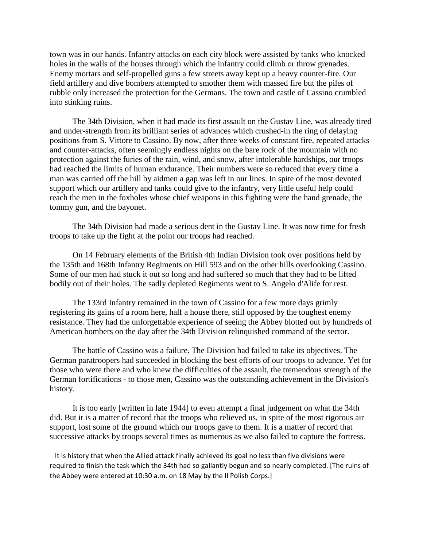town was in our hands. Infantry attacks on each city block were assisted by tanks who knocked holes in the walls of the houses through which the infantry could climb or throw grenades. Enemy mortars and self-propelled guns a few streets away kept up a heavy counter-fire. Our field artillery and dive bombers attempted to smother them with massed fire but the piles of rubble only increased the protection for the Germans. The town and castle of Cassino crumbled into stinking ruins.

 The 34th Division, when it had made its first assault on the Gustav Line, was already tired and under-strength from its brilliant series of advances which crushed-in the ring of delaying positions from S. Vittore to Cassino. By now, after three weeks of constant fire, repeated attacks and counter-attacks, often seemingly endless nights on the bare rock of the mountain with no protection against the furies of the rain, wind, and snow, after intolerable hardships, our troops had reached the limits of human endurance. Their numbers were so reduced that every time a man was carried off the hill by aidmen a gap was left in our lines. In spite of the most devoted support which our artillery and tanks could give to the infantry, very little useful help could reach the men in the foxholes whose chief weapons in this fighting were the hand grenade, the tommy gun, and the bayonet.

 The 34th Division had made a serious dent in the Gustav Line. It was now time for fresh troops to take up the fight at the point our troops had reached.

 On 14 February elements of the British 4th Indian Division took over positions held by the 135th and 168th Infantry Regiments on Hill 593 and on the other hills overlooking Cassino. Some of our men had stuck it out so long and had suffered so much that they had to be lifted bodily out of their holes. The sadly depleted Regiments went to S. Angelo d'Alife for rest.

 The 133rd Infantry remained in the town of Cassino for a few more days grimly registering its gains of a room here, half a house there, still opposed by the toughest enemy resistance. They had the unforgettable experience of seeing the Abbey blotted out by hundreds of American bombers on the day after the 34th Division relinquished command of the sector.

 The battle of Cassino was a failure. The Division had failed to take its objectives. The German paratroopers had succeeded in blocking the best efforts of our troops to advance. Yet for those who were there and who knew the difficulties of the assault, the tremendous strength of the German fortifications - to those men, Cassino was the outstanding achievement in the Division's history.

 It is too early [written in late 1944] to even attempt a final judgement on what the 34th did. But it is a matter of record that the troops who relieved us, in spite of the most rigorous air support, lost some of the ground which our troops gave to them. It is a matter of record that successive attacks by troops several times as numerous as we also failed to capture the fortress.

 It is history that when the Allied attack finally achieved its goal no less than five divisions were required to finish the task which the 34th had so gallantly begun and so nearly completed. [The ruins of the Abbey were entered at 10:30 a.m. on 18 May by the II Polish Corps.]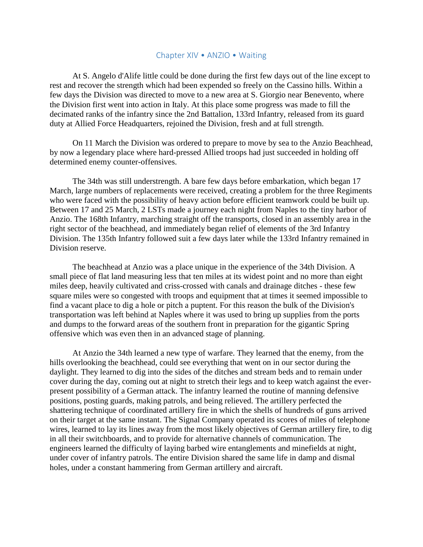#### Chapter XIV • ANZIO • Waiting

 At S. Angelo d'Alife little could be done during the first few days out of the line except to rest and recover the strength which had been expended so freely on the Cassino hills. Within a few days the Division was directed to move to a new area at S. Giorgio near Benevento, where the Division first went into action in Italy. At this place some progress was made to fill the decimated ranks of the infantry since the 2nd Battalion, 133rd Infantry, released from its guard duty at Allied Force Headquarters, rejoined the Division, fresh and at full strength.

 On 11 March the Division was ordered to prepare to move by sea to the Anzio Beachhead, by now a legendary place where hard-pressed Allied troops had just succeeded in holding off determined enemy counter-offensives.

 The 34th was still understrength. A bare few days before embarkation, which began 17 March, large numbers of replacements were received, creating a problem for the three Regiments who were faced with the possibility of heavy action before efficient teamwork could be built up. Between 17 and 25 March, 2 LSTs made a journey each night from Naples to the tiny harbor of Anzio. The 168th Infantry, marching straight off the transports, closed in an assembly area in the right sector of the beachhead, and immediately began relief of elements of the 3rd Infantry Division. The 135th Infantry followed suit a few days later while the 133rd Infantry remained in Division reserve.

 The beachhead at Anzio was a place unique in the experience of the 34th Division. A small piece of flat land measuring less that ten miles at its widest point and no more than eight miles deep, heavily cultivated and criss-crossed with canals and drainage ditches - these few square miles were so congested with troops and equipment that at times it seemed impossible to find a vacant place to dig a hole or pitch a puptent. For this reason the bulk of the Division's transportation was left behind at Naples where it was used to bring up supplies from the ports and dumps to the forward areas of the southern front in preparation for the gigantic Spring offensive which was even then in an advanced stage of planning.

 At Anzio the 34th learned a new type of warfare. They learned that the enemy, from the hills overlooking the beachhead, could see everything that went on in our sector during the daylight. They learned to dig into the sides of the ditches and stream beds and to remain under cover during the day, coming out at night to stretch their legs and to keep watch against the everpresent possibility of a German attack. The infantry learned the routine of manning defensive positions, posting guards, making patrols, and being relieved. The artillery perfected the shattering technique of coordinated artillery fire in which the shells of hundreds of guns arrived on their target at the same instant. The Signal Company operated its scores of miles of telephone wires, learned to lay its lines away from the most likely objectives of German artillery fire, to dig in all their switchboards, and to provide for alternative channels of communication. The engineers learned the difficulty of laying barbed wire entanglements and minefields at night, under cover of infantry patrols. The entire Division shared the same life in damp and dismal holes, under a constant hammering from German artillery and aircraft.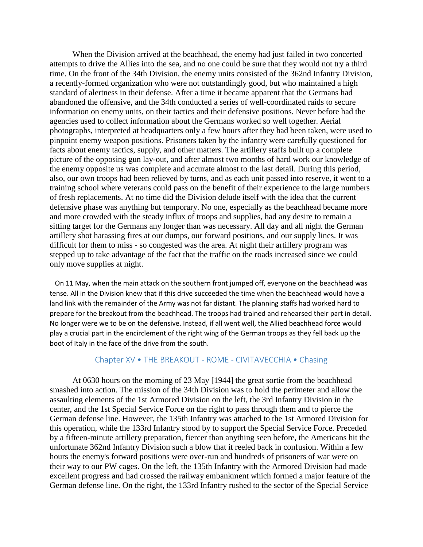When the Division arrived at the beachhead, the enemy had just failed in two concerted attempts to drive the Allies into the sea, and no one could be sure that they would not try a third time. On the front of the 34th Division, the enemy units consisted of the 362nd Infantry Division, a recently-formed organization who were not outstandingly good, but who maintained a high standard of alertness in their defense. After a time it became apparent that the Germans had abandoned the offensive, and the 34th conducted a series of well-coordinated raids to secure information on enemy units, on their tactics and their defensive positions. Never before had the agencies used to collect information about the Germans worked so well together. Aerial photographs, interpreted at headquarters only a few hours after they had been taken, were used to pinpoint enemy weapon positions. Prisoners taken by the infantry were carefully questioned for facts about enemy tactics, supply, and other matters. The artillery staffs built up a complete picture of the opposing gun lay-out, and after almost two months of hard work our knowledge of the enemy opposite us was complete and accurate almost to the last detail. During this period, also, our own troops had been relieved by turns, and as each unit passed into reserve, it went to a training school where veterans could pass on the benefit of their experience to the large numbers of fresh replacements. At no time did the Division delude itself with the idea that the current defensive phase was anything but temporary. No one, especially as the beachhead became more and more crowded with the steady influx of troops and supplies, had any desire to remain a sitting target for the Germans any longer than was necessary. All day and all night the German artillery shot harassing fires at our dumps, our forward positions, and our supply lines. It was difficult for them to miss - so congested was the area. At night their artillery program was stepped up to take advantage of the fact that the traffic on the roads increased since we could only move supplies at night.

 On 11 May, when the main attack on the southern front jumped off, everyone on the beachhead was tense. All in the Division knew that if this drive succeeded the time when the beachhead would have a land link with the remainder of the Army was not far distant. The planning staffs had worked hard to prepare for the breakout from the beachhead. The troops had trained and rehearsed their part in detail. No longer were we to be on the defensive. Instead, if all went well, the Allied beachhead force would play a crucial part in the encirclement of the right wing of the German troops as they fell back up the boot of Italy in the face of the drive from the south.

# Chapter XV • THE BREAKOUT - ROME - CIVITAVECCHIA • Chasing

 At 0630 hours on the morning of 23 May [1944] the great sortie from the beachhead smashed into action. The mission of the 34th Division was to hold the perimeter and allow the assaulting elements of the 1st Armored Division on the left, the 3rd Infantry Division in the center, and the 1st Special Service Force on the right to pass through them and to pierce the German defense line. However, the 135th Infantry was attached to the 1st Armored Division for this operation, while the 133rd Infantry stood by to support the Special Service Force. Preceded by a fifteen-minute artillery preparation, fiercer than anything seen before, the Americans hit the unfortunate 362nd Infantry Division such a blow that it reeled back in confusion. Within a few hours the enemy's forward positions were over-run and hundreds of prisoners of war were on their way to our PW cages. On the left, the 135th Infantry with the Armored Division had made excellent progress and had crossed the railway embankment which formed a major feature of the German defense line. On the right, the 133rd Infantry rushed to the sector of the Special Service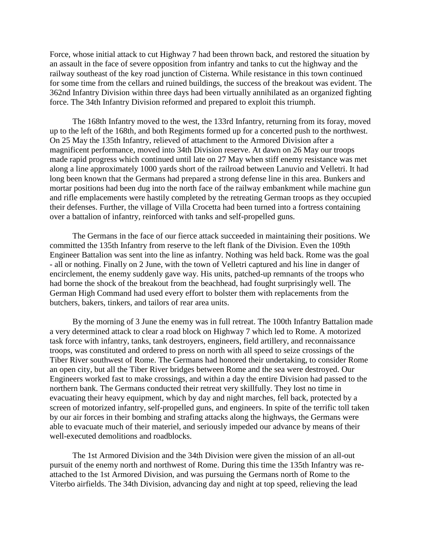Force, whose initial attack to cut Highway 7 had been thrown back, and restored the situation by an assault in the face of severe opposition from infantry and tanks to cut the highway and the railway southeast of the key road junction of Cisterna. While resistance in this town continued for some time from the cellars and ruined buildings, the success of the breakout was evident. The 362nd Infantry Division within three days had been virtually annihilated as an organized fighting force. The 34th Infantry Division reformed and prepared to exploit this triumph.

 The 168th Infantry moved to the west, the 133rd Infantry, returning from its foray, moved up to the left of the 168th, and both Regiments formed up for a concerted push to the northwest. On 25 May the 135th Infantry, relieved of attachment to the Armored Division after a magnificent performance, moved into 34th Division reserve. At dawn on 26 May our troops made rapid progress which continued until late on 27 May when stiff enemy resistance was met along a line approximately 1000 yards short of the railroad between Lanuvio and Velletri. It had long been known that the Germans had prepared a strong defense line in this area. Bunkers and mortar positions had been dug into the north face of the railway embankment while machine gun and rifle emplacements were hastily completed by the retreating German troops as they occupied their defenses. Further, the village of Villa Crocetta had been turned into a fortress containing over a battalion of infantry, reinforced with tanks and self-propelled guns.

 The Germans in the face of our fierce attack succeeded in maintaining their positions. We committed the 135th Infantry from reserve to the left flank of the Division. Even the 109th Engineer Battalion was sent into the line as infantry. Nothing was held back. Rome was the goal - all or nothing. Finally on 2 June, with the town of Velletri captured and his line in danger of encirclement, the enemy suddenly gave way. His units, patched-up remnants of the troops who had borne the shock of the breakout from the beachhead, had fought surprisingly well. The German High Command had used every effort to bolster them with replacements from the butchers, bakers, tinkers, and tailors of rear area units.

 By the morning of 3 June the enemy was in full retreat. The 100th Infantry Battalion made a very determined attack to clear a road block on Highway 7 which led to Rome. A motorized task force with infantry, tanks, tank destroyers, engineers, field artillery, and reconnaissance troops, was constituted and ordered to press on north with all speed to seize crossings of the Tiber River southwest of Rome. The Germans had honored their undertaking, to consider Rome an open city, but all the Tiber River bridges between Rome and the sea were destroyed. Our Engineers worked fast to make crossings, and within a day the entire Division had passed to the northern bank. The Germans conducted their retreat very skillfully. They lost no time in evacuating their heavy equipment, which by day and night marches, fell back, protected by a screen of motorized infantry, self-propelled guns, and engineers. In spite of the terrific toll taken by our air forces in their bombing and strafing attacks along the highways, the Germans were able to evacuate much of their materiel, and seriously impeded our advance by means of their well-executed demolitions and roadblocks.

 The 1st Armored Division and the 34th Division were given the mission of an all-out pursuit of the enemy north and northwest of Rome. During this time the 135th Infantry was reattached to the 1st Armored Division, and was pursuing the Germans north of Rome to the Viterbo airfields. The 34th Division, advancing day and night at top speed, relieving the lead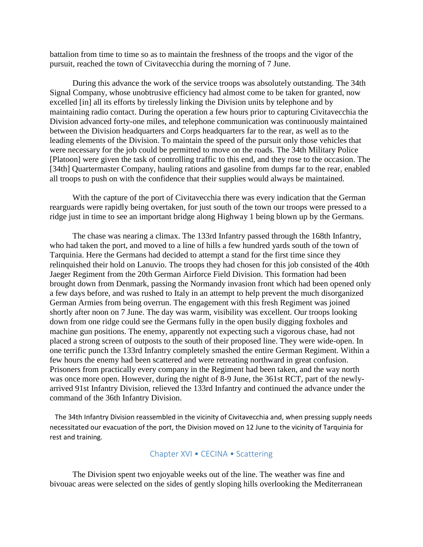battalion from time to time so as to maintain the freshness of the troops and the vigor of the pursuit, reached the town of Civitavecchia during the morning of 7 June.

 During this advance the work of the service troops was absolutely outstanding. The 34th Signal Company, whose unobtrusive efficiency had almost come to be taken for granted, now excelled [in] all its efforts by tirelessly linking the Division units by telephone and by maintaining radio contact. During the operation a few hours prior to capturing Civitavecchia the Division advanced forty-one miles, and telephone communication was continuously maintained between the Division headquarters and Corps headquarters far to the rear, as well as to the leading elements of the Division. To maintain the speed of the pursuit only those vehicles that were necessary for the job could be permitted to move on the roads. The 34th Military Police [Platoon] were given the task of controlling traffic to this end, and they rose to the occasion. The [34th] Quartermaster Company, hauling rations and gasoline from dumps far to the rear, enabled all troops to push on with the confidence that their supplies would always be maintained.

 With the capture of the port of Civitavecchia there was every indication that the German rearguards were rapidly being overtaken, for just south of the town our troops were pressed to a ridge just in time to see an important bridge along Highway 1 being blown up by the Germans.

 The chase was nearing a climax. The 133rd Infantry passed through the 168th Infantry, who had taken the port, and moved to a line of hills a few hundred yards south of the town of Tarquinia. Here the Germans had decided to attempt a stand for the first time since they relinquished their hold on Lanuvio. The troops they had chosen for this job consisted of the 40th Jaeger Regiment from the 20th German Airforce Field Division. This formation had been brought down from Denmark, passing the Normandy invasion front which had been opened only a few days before, and was rushed to Italy in an attempt to help prevent the much disorganized German Armies from being overrun. The engagement with this fresh Regiment was joined shortly after noon on 7 June. The day was warm, visibility was excellent. Our troops looking down from one ridge could see the Germans fully in the open busily digging foxholes and machine gun positions. The enemy, apparently not expecting such a vigorous chase, had not placed a strong screen of outposts to the south of their proposed line. They were wide-open. In one terrific punch the 133rd Infantry completely smashed the entire German Regiment. Within a few hours the enemy had been scattered and were retreating northward in great confusion. Prisoners from practically every company in the Regiment had been taken, and the way north was once more open. However, during the night of 8-9 June, the 361st RCT, part of the newlyarrived 91st Infantry Division, relieved the 133rd Infantry and continued the advance under the command of the 36th Infantry Division.

 The 34th Infantry Division reassembled in the vicinity of Civitavecchia and, when pressing supply needs necessitated our evacuation of the port, the Division moved on 12 June to the vicinity of Tarquinia for rest and training.

# Chapter XVI • CECINA • Scattering

 The Division spent two enjoyable weeks out of the line. The weather was fine and bivouac areas were selected on the sides of gently sloping hills overlooking the Mediterranean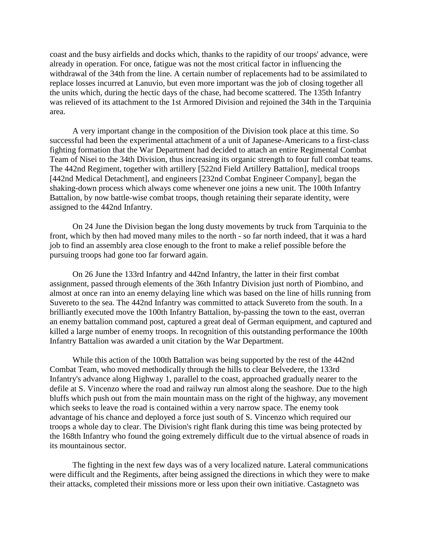coast and the busy airfields and docks which, thanks to the rapidity of our troops' advance, were already in operation. For once, fatigue was not the most critical factor in influencing the withdrawal of the 34th from the line. A certain number of replacements had to be assimilated to replace losses incurred at Lanuvio, but even more important was the job of closing together all the units which, during the hectic days of the chase, had become scattered. The 135th Infantry was relieved of its attachment to the 1st Armored Division and rejoined the 34th in the Tarquinia area.

 A very important change in the composition of the Division took place at this time. So successful had been the experimental attachment of a unit of Japanese-Americans to a first-class fighting formation that the War Department had decided to attach an entire Regimental Combat Team of Nisei to the 34th Division, thus increasing its organic strength to four full combat teams. The 442nd Regiment, together with artillery [522nd Field Artillery Battalion], medical troops [442nd Medical Detachment], and engineers [232nd Combat Engineer Company], began the shaking-down process which always come whenever one joins a new unit. The 100th Infantry Battalion, by now battle-wise combat troops, though retaining their separate identity, were assigned to the 442nd Infantry.

 On 24 June the Division began the long dusty movements by truck from Tarquinia to the front, which by then had moved many miles to the north - so far north indeed, that it was a hard job to find an assembly area close enough to the front to make a relief possible before the pursuing troops had gone too far forward again.

 On 26 June the 133rd Infantry and 442nd Infantry, the latter in their first combat assignment, passed through elements of the 36th Infantry Division just north of Piombino, and almost at once ran into an enemy delaying line which was based on the line of hills running from Suvereto to the sea. The 442nd Infantry was committed to attack Suvereto from the south. In a brilliantly executed move the 100th Infantry Battalion, by-passing the town to the east, overran an enemy battalion command post, captured a great deal of German equipment, and captured and killed a large number of enemy troops. In recognition of this outstanding performance the 100th Infantry Battalion was awarded a unit citation by the War Department.

 While this action of the 100th Battalion was being supported by the rest of the 442nd Combat Team, who moved methodically through the hills to clear Belvedere, the 133rd Infantry's advance along Highway 1, parallel to the coast, approached gradually nearer to the defile at S. Vincenzo where the road and railway run almost along the seashore. Due to the high bluffs which push out from the main mountain mass on the right of the highway, any movement which seeks to leave the road is contained within a very narrow space. The enemy took advantage of his chance and deployed a force just south of S. Vincenzo which required our troops a whole day to clear. The Division's right flank during this time was being protected by the 168th Infantry who found the going extremely difficult due to the virtual absence of roads in its mountainous sector.

 The fighting in the next few days was of a very localized nature. Lateral communications were difficult and the Regiments, after being assigned the directions in which they were to make their attacks, completed their missions more or less upon their own initiative. Castagneto was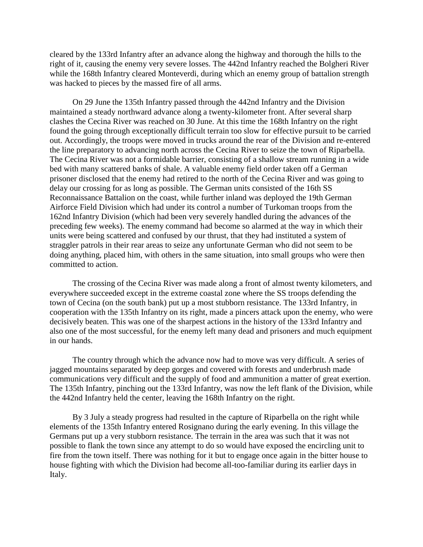cleared by the 133rd Infantry after an advance along the highway and thorough the hills to the right of it, causing the enemy very severe losses. The 442nd Infantry reached the Bolgheri River while the 168th Infantry cleared Monteverdi, during which an enemy group of battalion strength was hacked to pieces by the massed fire of all arms.

 On 29 June the 135th Infantry passed through the 442nd Infantry and the Division maintained a steady northward advance along a twenty-kilometer front. After several sharp clashes the Cecina River was reached on 30 June. At this time the 168th Infantry on the right found the going through exceptionally difficult terrain too slow for effective pursuit to be carried out. Accordingly, the troops were moved in trucks around the rear of the Division and re-entered the line preparatory to advancing north across the Cecina River to seize the town of Riparbella. The Cecina River was not a formidable barrier, consisting of a shallow stream running in a wide bed with many scattered banks of shale. A valuable enemy field order taken off a German prisoner disclosed that the enemy had retired to the north of the Cecina River and was going to delay our crossing for as long as possible. The German units consisted of the 16th SS Reconnaissance Battalion on the coast, while further inland was deployed the 19th German Airforce Field Division which had under its control a number of Turkoman troops from the 162nd Infantry Division (which had been very severely handled during the advances of the preceding few weeks). The enemy command had become so alarmed at the way in which their units were being scattered and confused by our thrust, that they had instituted a system of straggler patrols in their rear areas to seize any unfortunate German who did not seem to be doing anything, placed him, with others in the same situation, into small groups who were then committed to action.

 The crossing of the Cecina River was made along a front of almost twenty kilometers, and everywhere succeeded except in the extreme coastal zone where the SS troops defending the town of Cecina (on the south bank) put up a most stubborn resistance. The 133rd Infantry, in cooperation with the 135th Infantry on its right, made a pincers attack upon the enemy, who were decisively beaten. This was one of the sharpest actions in the history of the 133rd Infantry and also one of the most successful, for the enemy left many dead and prisoners and much equipment in our hands.

 The country through which the advance now had to move was very difficult. A series of jagged mountains separated by deep gorges and covered with forests and underbrush made communications very difficult and the supply of food and ammunition a matter of great exertion. The 135th Infantry, pinching out the 133rd Infantry, was now the left flank of the Division, while the 442nd Infantry held the center, leaving the 168th Infantry on the right.

 By 3 July a steady progress had resulted in the capture of Riparbella on the right while elements of the 135th Infantry entered Rosignano during the early evening. In this village the Germans put up a very stubborn resistance. The terrain in the area was such that it was not possible to flank the town since any attempt to do so would have exposed the encircling unit to fire from the town itself. There was nothing for it but to engage once again in the bitter house to house fighting with which the Division had become all-too-familiar during its earlier days in Italy.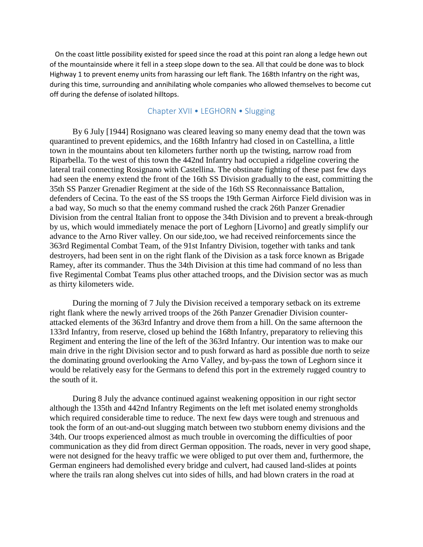On the coast little possibility existed for speed since the road at this point ran along a ledge hewn out of the mountainside where it fell in a steep slope down to the sea. All that could be done was to block Highway 1 to prevent enemy units from harassing our left flank. The 168th Infantry on the right was, during this time, surrounding and annihilating whole companies who allowed themselves to become cut off during the defense of isolated hilltops.

# Chapter XVII • LEGHORN • Slugging

 By 6 July [1944] Rosignano was cleared leaving so many enemy dead that the town was quarantined to prevent epidemics, and the 168th Infantry had closed in on Castellina, a little town in the mountains about ten kilometers further north up the twisting, narrow road from Riparbella. To the west of this town the 442nd Infantry had occupied a ridgeline covering the lateral trail connecting Rosignano with Castellina. The obstinate fighting of these past few days had seen the enemy extend the front of the 16th SS Division gradually to the east, committing the 35th SS Panzer Grenadier Regiment at the side of the 16th SS Reconnaissance Battalion, defenders of Cecina. To the east of the SS troops the 19th German Airforce Field division was in a bad way, So much so that the enemy command rushed the crack 26th Panzer Grenadier Division from the central Italian front to oppose the 34th Division and to prevent a break-through by us, which would immediately menace the port of Leghorn [Livorno] and greatly simplify our advance to the Arno River valley. On our side,too, we had received reinforcements since the 363rd Regimental Combat Team, of the 91st Infantry Division, together with tanks and tank destroyers, had been sent in on the right flank of the Division as a task force known as Brigade Ramey, after its commander. Thus the 34th Division at this time had command of no less than five Regimental Combat Teams plus other attached troops, and the Division sector was as much as thirty kilometers wide.

 During the morning of 7 July the Division received a temporary setback on its extreme right flank where the newly arrived troops of the 26th Panzer Grenadier Division counterattacked elements of the 363rd Infantry and drove them from a hill. On the same afternoon the 133rd Infantry, from reserve, closed up behind the 168th Infantry, preparatory to relieving this Regiment and entering the line of the left of the 363rd Infantry. Our intention was to make our main drive in the right Division sector and to push forward as hard as possible due north to seize the dominating ground overlooking the Arno Valley, and by-pass the town of Leghorn since it would be relatively easy for the Germans to defend this port in the extremely rugged country to the south of it.

 During 8 July the advance continued against weakening opposition in our right sector although the 135th and 442nd Infantry Regiments on the left met isolated enemy strongholds which required considerable time to reduce. The next few days were tough and strenuous and took the form of an out-and-out slugging match between two stubborn enemy divisions and the 34th. Our troops experienced almost as much trouble in overcoming the difficulties of poor communication as they did from direct German opposition. The roads, never in very good shape, were not designed for the heavy traffic we were obliged to put over them and, furthermore, the German engineers had demolished every bridge and culvert, had caused land-slides at points where the trails ran along shelves cut into sides of hills, and had blown craters in the road at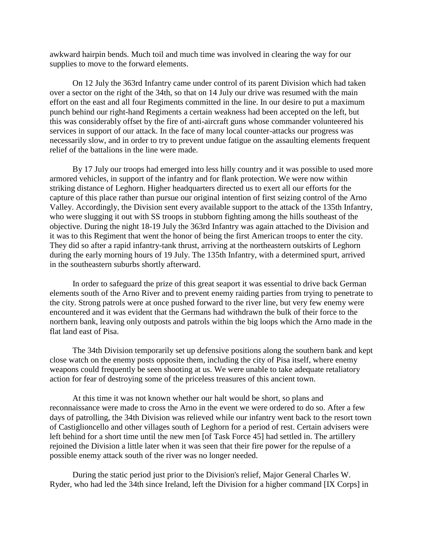awkward hairpin bends. Much toil and much time was involved in clearing the way for our supplies to move to the forward elements.

 On 12 July the 363rd Infantry came under control of its parent Division which had taken over a sector on the right of the 34th, so that on 14 July our drive was resumed with the main effort on the east and all four Regiments committed in the line. In our desire to put a maximum punch behind our right-hand Regiments a certain weakness had been accepted on the left, but this was considerably offset by the fire of anti-aircraft guns whose commander volunteered his services in support of our attack. In the face of many local counter-attacks our progress was necessarily slow, and in order to try to prevent undue fatigue on the assaulting elements frequent relief of the battalions in the line were made.

 By 17 July our troops had emerged into less hilly country and it was possible to used more armored vehicles, in support of the infantry and for flank protection. We were now within striking distance of Leghorn. Higher headquarters directed us to exert all our efforts for the capture of this place rather than pursue our original intention of first seizing control of the Arno Valley. Accordingly, the Division sent every available support to the attack of the 135th Infantry, who were slugging it out with SS troops in stubborn fighting among the hills southeast of the objective. During the night 18-19 July the 363rd Infantry was again attached to the Division and it was to this Regiment that went the honor of being the first American troops to enter the city. They did so after a rapid infantry-tank thrust, arriving at the northeastern outskirts of Leghorn during the early morning hours of 19 July. The 135th Infantry, with a determined spurt, arrived in the southeastern suburbs shortly afterward.

 In order to safeguard the prize of this great seaport it was essential to drive back German elements south of the Arno River and to prevent enemy raiding parties from trying to penetrate to the city. Strong patrols were at once pushed forward to the river line, but very few enemy were encountered and it was evident that the Germans had withdrawn the bulk of their force to the northern bank, leaving only outposts and patrols within the big loops which the Arno made in the flat land east of Pisa.

 The 34th Division temporarily set up defensive positions along the southern bank and kept close watch on the enemy posts opposite them, including the city of Pisa itself, where enemy weapons could frequently be seen shooting at us. We were unable to take adequate retaliatory action for fear of destroying some of the priceless treasures of this ancient town.

 At this time it was not known whether our halt would be short, so plans and reconnaissance were made to cross the Arno in the event we were ordered to do so. After a few days of patrolling, the 34th Division was relieved while our infantry went back to the resort town of Castiglioncello and other villages south of Leghorn for a period of rest. Certain advisers were left behind for a short time until the new men [of Task Force 45] had settled in. The artillery rejoined the Division a little later when it was seen that their fire power for the repulse of a possible enemy attack south of the river was no longer needed.

 During the static period just prior to the Division's relief, Major General Charles W. Ryder, who had led the 34th since Ireland, left the Division for a higher command [IX Corps] in